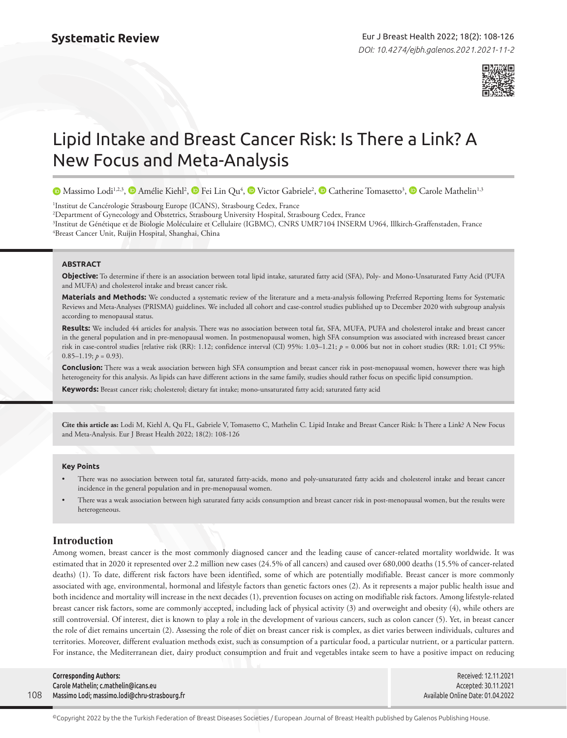

# Lipid Intake and Breast Cancer Risk: Is There a Link? A New Focus and Meta-Analysis

MassimoLodi<sup>1,2,3</sup>[,](https://orcid.org/0000-0002-1811-5848)  $\bullet$  Amélie Kiehl<sup>2</sup>,  $\bullet$  Fei Lin Qu<sup>4</sup>,  $\bullet$  Victor Gabriele<sup>2</sup>,  $\bullet$  Catherine Tomasetto<sup>3</sup>,  $\bullet$  Carole Mathelin<sup>1,3</sup>

1 Institut de Cancérologie Strasbourg Europe (ICANS), Strasbourg Cedex, France

2 Department of Gynecology and Obstetrics, Strasbourg University Hospital, Strasbourg Cedex, France

3 Institut de Génétique et de Biologie Moléculaire et Cellulaire (IGBMC), CNRS UMR7104 INSERM U964, Illkirch-Graffenstaden, France 4 Breast Cancer Unit, Ruijin Hospital, Shanghai, China

# **ABSTRACT**

**Objective:** To determine if there is an association between total lipid intake, saturated fatty acid (SFA), Poly- and Mono-Unsaturated Fatty Acid (PUFA and MUFA) and cholesterol intake and breast cancer risk.

**Materials and Methods:** We conducted a systematic review of the literature and a meta-analysis following Preferred Reporting Items for Systematic Reviews and Meta-Analyses (PRISMA) guidelines. We included all cohort and case-control studies published up to December 2020 with subgroup analysis according to menopausal status.

**Results:** We included 44 articles for analysis. There was no association between total fat, SFA, MUFA, PUFA and cholesterol intake and breast cancer in the general population and in pre-menopausal women. In postmenopausal women, high SFA consumption was associated with increased breast cancer risk in case-control studies [relative risk (RR): 1.12; confidence interval (CI) 95%: 1.03–1.21; *p* = 0.006 but not in cohort studies (RR: 1.01; CI 95%:  $0.85-1.19; p = 0.93$ ).

**Conclusion:** There was a weak association between high SFA consumption and breast cancer risk in post-menopausal women, however there was high heterogeneity for this analysis. As lipids can have different actions in the same family, studies should rather focus on specific lipid consumption.

**Keywords:** Breast cancer risk; cholesterol; dietary fat intake; mono-unsaturated fatty acid; saturated fatty acid

**Cite this article as:** Lodi M, Kiehl A, Qu FL, Gabriele V, Tomasetto C, Mathelin C. Lipid Intake and Breast Cancer Risk: Is There a Link? A New Focus and Meta-Analysis. Eur J Breast Health 2022; 18(2): 108-126

#### **Key Points**

- There was no association between total fat, saturated fatty-acids, mono and poly-unsaturated fatty acids and cholesterol intake and breast cancer incidence in the general population and in pre-menopausal women.
- There was a weak association between high saturated fatty acids consumption and breast cancer risk in post-menopausal women, but the results were heterogeneous.

# **Introduction**

Among women, breast cancer is the most commonly diagnosed cancer and the leading cause of cancer-related mortality worldwide. It was estimated that in 2020 it represented over 2.2 million new cases (24.5% of all cancers) and caused over 680,000 deaths (15.5% of cancer-related deaths) (1). To date, different risk factors have been identified, some of which are potentially modifiable. Breast cancer is more commonly associated with age, environmental, hormonal and lifestyle factors than genetic factors ones (2). As it represents a major public health issue and both incidence and mortality will increase in the next decades (1), prevention focuses on acting on modifiable risk factors. Among lifestyle-related breast cancer risk factors, some are commonly accepted, including lack of physical activity (3) and overweight and obesity (4), while others are still controversial. Of interest, diet is known to play a role in the development of various cancers, such as colon cancer (5). Yet, in breast cancer the role of diet remains uncertain (2). Assessing the role of diet on breast cancer risk is complex, as diet varies between individuals, cultures and territories. Moreover, different evaluation methods exist, such as consumption of a particular food, a particular nutrient, or a particular pattern. For instance, the Mediterranean diet, dairy product consumption and fruit and vegetables intake seem to have a positive impact on reducing

|     | <b>Corresponding Authors:</b>                 | Received: 12.11.2021              |
|-----|-----------------------------------------------|-----------------------------------|
|     | Carole Mathelin; c.mathelin@icans.eu          | Accepted: 30.11.2021              |
| 108 | Massimo Lodi; massimo.lodi@chru-strasbourg.fr | Available Online Date: 01.04.2022 |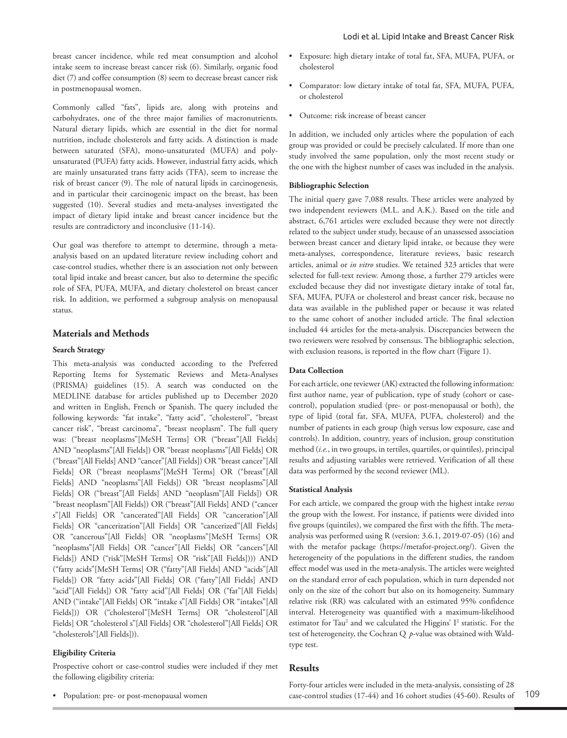breast cancer incidence, while red meat consumption and alcohol intake seem to increase breast cancer risk (6). Similarly, organic food diet (7) and coffee consumption (8) seem to decrease breast cancer risk in postmenopausal women.

Commonly called "fats", lipids are, along with proteins and carbohydrates, one of the three major families of macronutrients. Natural dietary lipids, which are essential in the diet for normal nutrition, include cholesterols and fatty acids. A distinction is made between saturated (SFA), mono-unsaturated (MUFA) and polyunsaturated (PUFA) fatty acids. However, industrial fatty acids, which are mainly unsaturated trans fatty acids (TFA), seem to increase the risk of breast cancer (9). The role of natural lipids in carcinogenesis, and in particular their carcinogenic impact on the breast, has been suggested (10). Several studies and meta-analyses investigated the impact of dietary lipid intake and breast cancer incidence but the results are contradictory and inconclusive (11-14).

Our goal was therefore to attempt to determine, through a metaanalysis based on an updated literature review including cohort and case-control studies, whether there is an association not only between total lipid intake and breast cancer, but also to determine the specific role of SFA, PUFA, MUFA, and dietary cholesterol on breast cancer risk. In addition, we performed a subgroup analysis on menopausal status.

# **Materials and Methods**

## **Search Strategy**

This meta-analysis was conducted according to the Preferred Reporting Items for Systematic Reviews and Meta-Analyses (PRISMA) guidelines (15). A search was conducted on the MEDLINE database for articles published up to December 2020 and written in English, French or Spanish. The query included the following keywords: "fat intake", "fatty acid", "cholesterol", "breast cancer risk", "breast carcinoma", "breast neoplasm". The full query was: ("breast neoplasms"[MeSH Terms] OR ("breast"[All Fields] AND "neoplasms"[All Fields]) OR "breast neoplasms"[All Fields] OR ("breast"[All Fields] AND "cancer"[All Fields]) OR "breast cancer"[All Fields] OR ("breast neoplasms"[MeSH Terms] OR ("breast"[All Fields] AND "neoplasms"[All Fields]) OR "breast neoplasms"[All Fields] OR ("breast"[All Fields] AND "neoplasm"[All Fields]) OR "breast neoplasm"[All Fields]) OR ("breast"[All Fields] AND ("cancer s"[All Fields] OR "cancerated"[All Fields] OR "canceration"[All Fields] OR "cancerization"[All Fields] OR "cancerized"[All Fields] OR "cancerous"[All Fields] OR "neoplasms"[MeSH Terms] OR "neoplasms"[All Fields] OR "cancer"[All Fields] OR "cancers"[All Fields]) AND ("risk"[MeSH Terms] OR "risk"[All Fields]))) AND ("fatty acids"[MeSH Terms] OR ("fatty"[All Fields] AND "acids"[All Fields]) OR "fatty acids"[All Fields] OR ("fatty"[All Fields] AND "acid"[All Fields]) OR "fatty acid"[All Fields] OR ("fat"[All Fields] AND ("intake"[All Fields] OR "intake s"[All Fields] OR "intakes"[All Fields])) OR ("cholesterol"[MeSH Terms] OR "cholesterol"[All Fields] OR "cholesterol s"[All Fields] OR "cholesterol"[All Fields] OR "cholesterols"[All Fields])).

## **Eligibility Criteria**

Prospective cohort or case-control studies were included if they met the following eligibility criteria:

• Population: pre- or post-menopausal women

- Exposure: high dietary intake of total fat, SFA, MUFA, PUFA, or cholesterol
- Comparator: low dietary intake of total fat, SFA, MUFA, PUFA, or cholesterol
- Outcome: risk increase of breast cancer

In addition, we included only articles where the population of each group was provided or could be precisely calculated. If more than one study involved the same population, only the most recent study or the one with the highest number of cases was included in the analysis.

## **Bibliographic Selection**

The initial query gave 7,088 results. These articles were analyzed by two independent reviewers (M.L. and A.K.). Based on the title and abstract, 6,761 articles were excluded because they were not directly related to the subject under study, because of an unassessed association between breast cancer and dietary lipid intake, or because they were meta-analyses, correspondence, literature reviews, basic research articles, animal or *in vitro* studies. We retained 323 articles that were selected for full-text review. Among those, a further 279 articles were excluded because they did not investigate dietary intake of total fat, SFA, MUFA, PUFA or cholesterol and breast cancer risk, because no data was available in the published paper or because it was related to the same cohort of another included article. The final selection included 44 articles for the meta-analysis. Discrepancies between the two reviewers were resolved by consensus. The bibliographic selection, with exclusion reasons, is reported in the flow chart (Figure 1).

## **Data Collection**

For each article, one reviewer (AK) extracted the following information: first author name, year of publication, type of study (cohort or casecontrol), population studied (pre- or post-menopausal or both), the type of lipid (total fat, SFA, MUFA, PUFA, cholesterol) and the number of patients in each group (high versus low exposure, case and controls). In addition, country, years of inclusion, group constitution method (*i.e.*, in two groups, in tertiles, quartiles, or quintiles), principal results and adjusting variables were retrieved. Verification of all these data was performed by the second reviewer (ML).

## **Statistical Analysis**

For each article, we compared the group with the highest intake *versus* the group with the lowest. For instance, if patients were divided into five groups (quintiles), we compared the first with the fifth. The metaanalysis was performed using R (version: 3.6.1, 2019-07-05) (16) and with the metafor package (https://metafor-project.org/). Given the heterogeneity of the populations in the different studies, the random effect model was used in the meta-analysis. The articles were weighted on the standard error of each population, which in turn depended not only on the size of the cohort but also on its homogeneity. Summary relative risk (RR) was calculated with an estimated 95% confidence interval. Heterogeneity was quantified with a maximum-likelihood estimator for Tau<sup>2</sup> and we calculated the Higgins' I<sup>2</sup> statistic. For the test of heterogeneity, the Cochran Q *p*-value was obtained with Waldtype test.

# **Results**

Forty-four articles were included in the meta-analysis, consisting of 28 case-control studies (17-44) and 16 cohort studies (45-60). Results of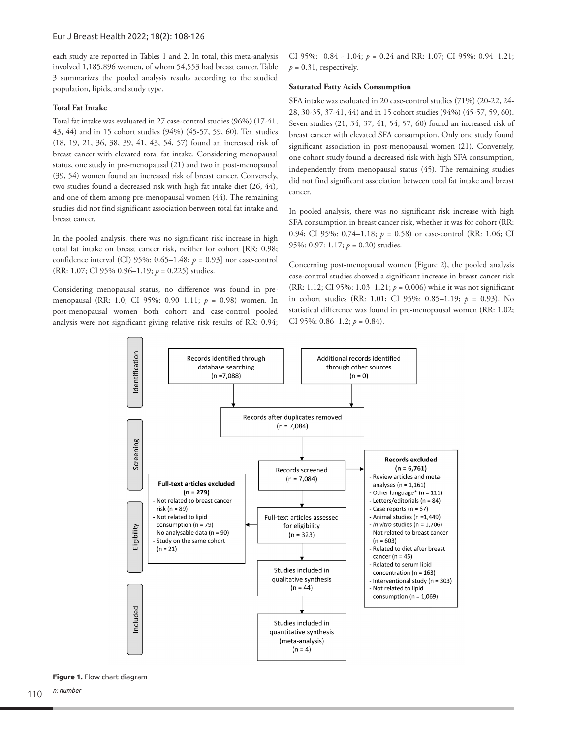each study are reported in Tables 1 and 2. In total, this meta-analysis involved 1,185,896 women, of whom 54,553 had breast cancer. Table 3 summarizes the pooled analysis results according to the studied population, lipids, and study type.

## **Total Fat Intake**

Total fat intake was evaluated in 27 case-control studies (96%) (17-41, 43, 44) and in 15 cohort studies (94%) (45-57, 59, 60). Ten studies (18, 19, 21, 36, 38, 39, 41, 43, 54, 57) found an increased risk of breast cancer with elevated total fat intake. Considering menopausal status, one study in pre-menopausal (21) and two in post-menopausal (39, 54) women found an increased risk of breast cancer. Conversely, two studies found a decreased risk with high fat intake diet (26, 44), and one of them among pre-menopausal women (44). The remaining studies did not find significant association between total fat intake and breast cancer.

In the pooled analysis, there was no significant risk increase in high total fat intake on breast cancer risk, neither for cohort [RR: 0.98; confidence interval (CI) 95%: 0.65–1.48; *p* = 0.93] nor case-control (RR: 1.07; CI 95% 0.96–1.19; *p* = 0.225) studies.

Considering menopausal status, no difference was found in premenopausal (RR: 1.0; CI 95%: 0.90–1.11; *p* = 0.98) women. In post-menopausal women both cohort and case-control pooled analysis were not significant giving relative risk results of RR: 0.94;

CI 95%: 0.84 - 1.04; *p* = 0.24 and RR: 1.07; CI 95%: 0.94–1.21;  $p = 0.31$ , respectively.

## **Saturated Fatty Acids Consumption**

SFA intake was evaluated in 20 case-control studies (71%) (20-22, 24- 28, 30-35, 37-41, 44) and in 15 cohort studies (94%) (45-57, 59, 60). Seven studies (21, 34, 37, 41, 54, 57, 60) found an increased risk of breast cancer with elevated SFA consumption. Only one study found significant association in post-menopausal women (21). Conversely, one cohort study found a decreased risk with high SFA consumption, independently from menopausal status (45). The remaining studies did not find significant association between total fat intake and breast cancer.

In pooled analysis, there was no significant risk increase with high SFA consumption in breast cancer risk, whether it was for cohort (RR: 0.94; CI 95%: 0.74–1.18; *p* = 0.58) or case-control (RR: 1.06; CI 95%: 0.97: 1.17; *p* = 0.20) studies.

Concerning post-menopausal women (Figure 2), the pooled analysis case-control studies showed a significant increase in breast cancer risk (RR: 1.12; CI 95%: 1.03–1.21; *p* = 0.006) while it was not significant in cohort studies (RR: 1.01; CI 95%: 0.85–1.19; *p* = 0.93). No statistical difference was found in pre-menopausal women (RR: 1.02; CI 95%: 0.86–1.2; *p* = 0.84).



**Figure 1.** Flow chart diagram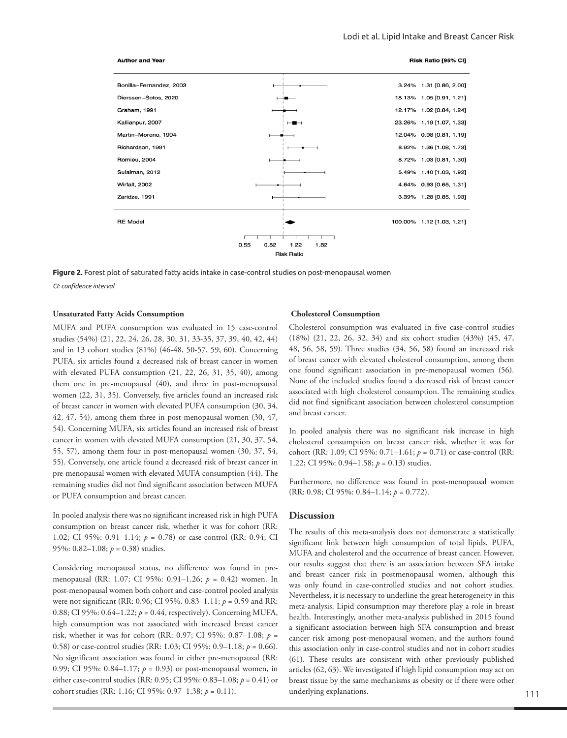

**Figure 2.** Forest plot of saturated fatty acids intake in case-control studies on post-menopausal women *CI: confidence interval*

#### **Unsaturated Fatty Acids Consumption**

MUFA and PUFA consumption was evaluated in 15 case-control studies (54%) (21, 22, 24, 26, 28, 30, 31, 33-35, 37, 39, 40, 42, 44) and in 13 cohort studies (81%) (46-48, 50-57, 59, 60). Concerning PUFA, six articles found a decreased risk of breast cancer in women with elevated PUFA consumption (21, 22, 26, 31, 35, 40), among them one in pre-menopausal (40), and three in post-menopausal women (22, 31, 35). Conversely, five articles found an increased risk of breast cancer in women with elevated PUFA consumption (30, 34, 42, 47, 54), among them three in post-menopausal women (30, 47, 54). Concerning MUFA, six articles found an increased risk of breast cancer in women with elevated MUFA consumption (21, 30, 37, 54, 55, 57), among them four in post-menopausal women (30, 37, 54, 55). Conversely, one article found a decreased risk of breast cancer in pre-menopausal women with elevated MUFA consumption (44). The remaining studies did not find significant association between MUFA or PUFA consumption and breast cancer.

In pooled analysis there was no significant increased risk in high PUFA consumption on breast cancer risk, whether it was for cohort (RR: 1.02; CI 95%: 0.91–1.14; *p* = 0.78) or case-control (RR: 0.94; CI 95%: 0.82–1.08; *p* = 0.38) studies.

Considering menopausal status, no difference was found in premenopausal (RR: 1.07; CI 95%: 0.91–1.26; *p* = 0.42) women. In post-menopausal women both cohort and case-control pooled analysis were not significant (RR: 0.96; CI 95%. 0.83–1.11; *p* = 0.59 and RR: 0.88; CI 95%: 0.64–1.22; *p* = 0.44, respectively). Concerning MUFA, high consumption was not associated with increased breast cancer risk, whether it was for cohort (RR: 0.97; CI 95%: 0.87–1.08; *p* = 0.58) or case-control studies (RR: 1.03; CI 95%: 0.9–1.18; *p* = 0.66). No significant association was found in either pre-menopausal (RR: 0.99; CI 95%: 0.84–1.17; *p* = 0.93) or post-menopausal women, in either case-control studies (RR: 0.95; CI 95%: 0.83–1.08; *p* = 0.41) or cohort studies (RR: 1.16; CI 95%: 0.97–1.38; *p* = 0.11).

#### **Cholesterol Consumption**

Cholesterol consumption was evaluated in five case-control studies (18%) (21, 22, 26, 32, 34) and six cohort studies (43%) (45, 47, 48, 56, 58, 59). Three studies (34, 56, 58) found an increased risk of breast cancer with elevated cholesterol consumption, among them one found significant association in pre-menopausal women (56). None of the included studies found a decreased risk of breast cancer associated with high cholesterol consumption. The remaining studies did not find significant association between cholesterol consumption and breast cancer.

In pooled analysis there was no significant risk increase in high cholesterol consumption on breast cancer risk, whether it was for cohort (RR: 1.09; CI 95%: 0.71–1.61; *p* = 0.71) or case-control (RR: 1.22; CI 95%: 0.94–1.58; *p* = 0.13) studies.

Furthermore, no difference was found in post-menopausal women (RR: 0.98; CI 95%: 0.84–1.14; *p* = 0.772).

### **Discussion**

The results of this meta-analysis does not demonstrate a statistically significant link between high consumption of total lipids, PUFA, MUFA and cholesterol and the occurrence of breast cancer. However, our results suggest that there is an association between SFA intake and breast cancer risk in postmenopausal women, although this was only found in case-controlled studies and not cohort studies. Nevertheless, it is necessary to underline the great heterogeneity in this meta-analysis. Lipid consumption may therefore play a role in breast health. Interestingly, another meta-analysis published in 2015 found a significant association between high SFA consumption and breast cancer risk among post-menopausal women, and the authors found this association only in case-control studies and not in cohort studies (61). These results are consistent with other previously published articles (62, 63). We investigated if high lipid consumption may act on breast tissue by the same mechanisms as obesity or if there were other underlying explanations.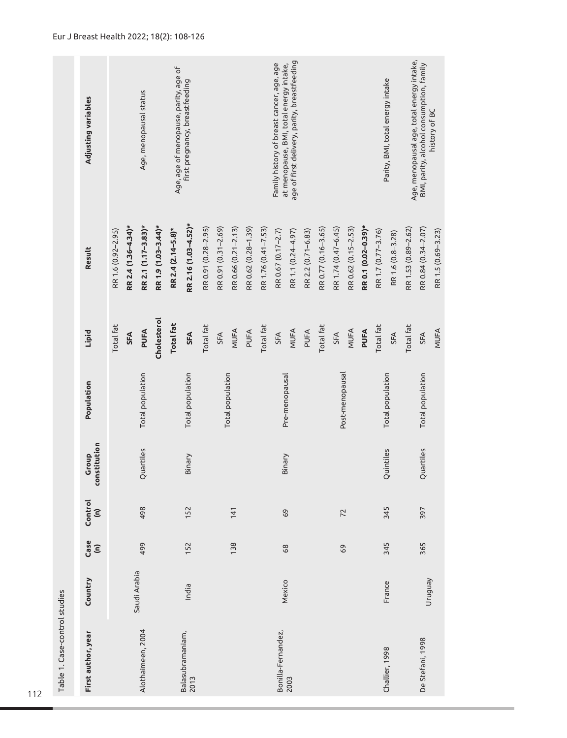| Table 1. Case-control studies |              |             |                                 |                       |                  |                  |                      |                                                                                      |
|-------------------------------|--------------|-------------|---------------------------------|-----------------------|------------------|------------------|----------------------|--------------------------------------------------------------------------------------|
| First author, year            | Country      | Case<br>(n) | Control<br>$\widehat{\epsilon}$ | constitution<br>Group | Population       | Lipid            | Result               | Adjusting variables                                                                  |
|                               |              |             |                                 |                       |                  | Total fat        | RR 1.6 (0.92-2.95)   |                                                                                      |
|                               | Saudi Arabia |             |                                 |                       |                  | SFA              | RR 2.4 (1.36-4.34)*  |                                                                                      |
| Alothaimeen, 2004             |              | 499         | 498                             | Quartiles             | Total population | PUFA             | RR 2.1 (1.17-3.83)*  | Age, menopausal status                                                               |
|                               |              |             |                                 |                       |                  | Cholesterol      | RR 1.9 (1.03-3.44)*  |                                                                                      |
|                               |              |             |                                 |                       |                  | <b>Total fat</b> | RR 2.4 (2.14-5.8)*   | Age, age of menopause, parity, age of                                                |
| Balasubramaniam,<br>2013      | India        | 152         | 152                             | Binary                | Total population | SFA              | RR 2.16 (1.03-4.52)* | first pregnancy, breastfeeding                                                       |
|                               |              |             |                                 |                       |                  | Total fat        | RR 0.91 (0.28-2.95)  |                                                                                      |
|                               |              |             |                                 |                       |                  | SFA              | RR 0.91 (0.31-2.69)  |                                                                                      |
|                               |              | 138         | 141                             |                       | Total population | MUFA             | RR 0.66 (0.21-2.13)  |                                                                                      |
|                               |              |             |                                 |                       |                  | PUFA             | RR 0.62 (0.28-1.39)  |                                                                                      |
|                               |              |             |                                 |                       |                  | Total fat        | RR 1.76 (0.41-7.53)  |                                                                                      |
| Bonilla-Fernandez,            | Mexico       | 68          | 69                              | Binary                |                  | SFA              | RR 0.67 (0.17-2.7)   | at menopause, BMI, total energy intake,<br>Family history of breast cancer, age, age |
| 2003                          |              |             |                                 |                       | Pre-menopausal   | MUFA             | RR 1.1 (0.24-4.97)   | age of first delivery, parity, breastfeeding                                         |
|                               |              |             |                                 |                       |                  | PUFA             | RR 2.2 (0.71-6.83)   |                                                                                      |
|                               |              |             |                                 |                       |                  | Total fat        | RR 0.77 (0.16-3.65)  |                                                                                      |
|                               |              | 69          | 72                              |                       | Post-menopausal  | SFA              | RR 1.74 (0.47-6.45)  |                                                                                      |
|                               |              |             |                                 |                       |                  | MUFA             | RR 0.62 (0.15-2.53)  |                                                                                      |
|                               |              |             |                                 |                       |                  | PUFA             | RR 0.1 (0.02-0.39)*  |                                                                                      |
| Challier, 1998                |              | 345         | 345                             | Quintiles             | Total population | Total fat        | RR 1.7 (0.77-3.76)   | Parity, BMI, total energy intake                                                     |
|                               | France       |             |                                 |                       |                  | <b>SFA</b>       | RR 1.6 (0.8-3.28)    |                                                                                      |
|                               |              |             |                                 |                       |                  | Total fat        | RR 1.53 (0.89-2.62)  | Age, menopausal age, total energy intake,                                            |
| De Stefani, 1998              | Nenbnun      | 365         | 397                             | Quartiles             | Total population | SFA              | RR 0.84 (0.34-2.07)  | BMI, parity, alcohol consumption, family                                             |
|                               |              |             |                                 |                       |                  | MUFA             | RR 1.5 (0.69-3.23)   | history of BC                                                                        |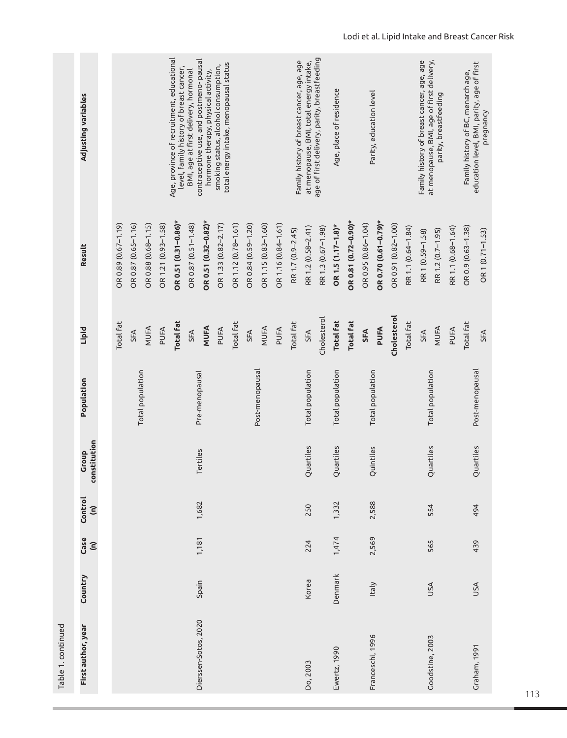| First author, year   |              |                              |                                 |                       |                  |                  |                      |                                                                                        |
|----------------------|--------------|------------------------------|---------------------------------|-----------------------|------------------|------------------|----------------------|----------------------------------------------------------------------------------------|
|                      | Country      | Case<br>$\widehat{\epsilon}$ | Control<br>$\widehat{\epsilon}$ | constitution<br>Group | Population       | Lipid            | Result               | Adjusting variables                                                                    |
|                      |              |                              |                                 |                       |                  | Total fat        | OR 0.89 (0.67-1.19)  |                                                                                        |
|                      |              |                              |                                 |                       |                  | SFA              | OR 0.87 (0.65-1.16)  |                                                                                        |
|                      |              |                              |                                 |                       | Total population | MUFA             | OR 0.88 (0.68-1.15)  |                                                                                        |
|                      |              |                              |                                 |                       |                  | PUFA             | OR 1.21 (0.93-1.58)  |                                                                                        |
|                      |              |                              |                                 |                       |                  | <b>Total fat</b> | OR 0.51 (0.31-0.86)* | Age, province of recruitment, educational<br>level, family history of breast cancer,   |
|                      |              |                              |                                 |                       |                  | <b>SFA</b>       | OR 0.87 (0.51-1.48)  | BMI, age at first delivery, hormonal                                                   |
| Dierssen-Sotos, 2020 | Spain        | 1,181                        | 1,682                           | Tertiles              | Pre-menopausal   | <b>MUFA</b>      | OR 0.51 (0.32-0.82)* | contraceptive use, and postmeno-pausal<br>hormone therapy, physical activity,          |
|                      |              |                              |                                 |                       |                  | PUFA             | OR 1.33 (0.82-2.17)  | total energy intake, menopausal status<br>smoking status, alcohol consumption,         |
|                      |              |                              |                                 |                       |                  | Total fat        | OR 1.12 (0.78-1.61)  |                                                                                        |
|                      |              |                              |                                 |                       |                  | SFA              | OR 0.84 (0.59-1.20)  |                                                                                        |
|                      |              |                              |                                 |                       | Post-menopausal  | MUFA             | OR 1.15 (0.83-1.60)  |                                                                                        |
|                      |              |                              |                                 |                       |                  | PUFA             | OR 1.16 (0.84-1.61)  |                                                                                        |
|                      |              |                              |                                 |                       |                  | Total fat        | RR 1.7 (0.9-2.45)    | Family history of breast cancer, age, age                                              |
|                      | Korea        | 224                          | 250                             | Quartiles             | Total population | <b>SFA</b>       | RR 1.2 (0.58-2.41)   | at menopause, BMI, total energy intake,                                                |
|                      |              |                              |                                 |                       |                  | Cholesterol      | RR 1.3 (0.67-1.98)   | age of first delivery, parity, breastfeeding                                           |
| Ewertz, 1990         | Denmark      | 1,474                        | 1,332                           | Quartiles             | Total population | <b>Total fat</b> | OR 1.5 (1.17-1.8)*   | Age, place of residence                                                                |
|                      |              |                              |                                 |                       |                  | <b>Total fat</b> | OR 0.81 (0.72-0.90)* |                                                                                        |
|                      |              |                              |                                 |                       |                  | SFA              | OR 0.95 (0.86-1.04)  |                                                                                        |
| Franceschi, 1996     | <b>Italy</b> | 2,569                        | 2,588                           | Quintiles             | Total population | PUFA             | OR 0.70 (0.61-0.79)* | Parity, education level                                                                |
|                      |              |                              |                                 |                       |                  | Cholesterol      | OR 0.91 (0.82-1.00)  |                                                                                        |
|                      |              |                              |                                 |                       |                  | Total fat        | RR 1.1 (0.64-1.84)   |                                                                                        |
| Goodstine, 2003      | USA          | 565                          | 554                             |                       | Total population | SFA              | RR 1 (0.59-1.58)     | at menopause, BMI, age of first delivery,<br>Family history of breast cancer, age, age |
|                      |              |                              |                                 | Quartiles             |                  | MUFA             | RR 1.2 (0.7-1.95)    | parity, breastfeeding                                                                  |
|                      |              |                              |                                 |                       |                  | PUFA             | RR 1.1 (0.68-1.64)   |                                                                                        |
|                      |              |                              |                                 |                       |                  | Total fat        | OR 0.9 (0.63-1.38)   | Family history of BC, menarch age,                                                     |
| Graham, 1991         | USA          | 439                          | 494                             | Quartiles             | Post-menopausal  | SFA              | OR 1 (0.71-1.53)     | education level, BMI, parity, age of first<br>pregnancy                                |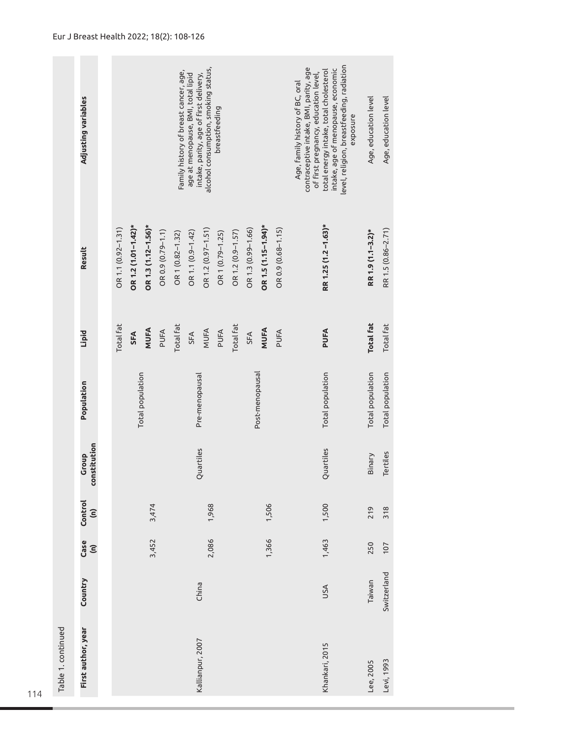|                    | Adjusting variables             | alcohol consumption, smoking status,<br>Family history of breast cancer, age,<br>intake, parity, age of first delivery,<br>age at menopause, BMI, total lipid<br>breastfeeding                |                                                                 | level, religion, breastfeeding, radiation<br>contraceptive intake, BMI, parity, age<br>intake, age of menopause, economic<br>total energy intake, total cholesterol<br>of first pregnancy, education level,<br>Age, family history of BC, oral<br>exposure | Age, education level | Age, education level |
|--------------------|---------------------------------|-----------------------------------------------------------------------------------------------------------------------------------------------------------------------------------------------|-----------------------------------------------------------------|------------------------------------------------------------------------------------------------------------------------------------------------------------------------------------------------------------------------------------------------------------|----------------------|----------------------|
|                    | Result                          | OR 1.2 (1.01-1.42)*<br>OR 1.3 (1.12-1.56)*<br>OR 1.1 (0.92-1.31)<br>OR 1.2 (0.97-1.51)<br>OR 1.2 (0.9-1.57)<br>OR 0.9 (0.79-1.1)<br>OR 1.1 (0.9-1.42)<br>OR 1 (0.79-1.25)<br>OR 1 (0.82-1.32) | OR 1.5 (1.15-1.94)*<br>OR 1.3 (0.99-1.66)<br>OR 0.9 (0.68-1.15) | RR 1.25 (1.2-1.63)*                                                                                                                                                                                                                                        | RR 1.9 (1.1-3.2)*    | RR 1.5 (0.86-2.71)   |
|                    | Lipid                           | Total fat<br>Total fat<br>Total fat<br><b>MUFA</b><br>MUFA<br>PUFA<br>PUFA<br>SFA<br>SFA                                                                                                      | <b>MUFA</b><br>PUFA<br>SFA                                      | PUFA                                                                                                                                                                                                                                                       | <b>Total fat</b>     | <b>Total fat</b>     |
|                    | Population                      | Total population<br>Pre-menopausal                                                                                                                                                            | Post-menopausal                                                 | Total population                                                                                                                                                                                                                                           | Total population     | Total population     |
|                    | constitution<br>Group           | Quartiles                                                                                                                                                                                     |                                                                 | Quartiles                                                                                                                                                                                                                                                  | Binary               | Tertiles             |
|                    | Control<br>$\widehat{\epsilon}$ | 3,474<br>1,968                                                                                                                                                                                | 1,506                                                           | 1,500                                                                                                                                                                                                                                                      | 219                  | 318                  |
|                    | Case<br>$\widehat{\epsilon}$    | 3,452<br>2,086                                                                                                                                                                                | 1,366                                                           | 1,463                                                                                                                                                                                                                                                      | 250                  | 107                  |
|                    | Country                         | China                                                                                                                                                                                         |                                                                 | USA                                                                                                                                                                                                                                                        | Taiwan               | Switzerland          |
| Table 1. continued | First author, year              | Kallianpur, 2007                                                                                                                                                                              |                                                                 | Khankari, 2015                                                                                                                                                                                                                                             | Lee, 2005            | Levi, 1993           |

П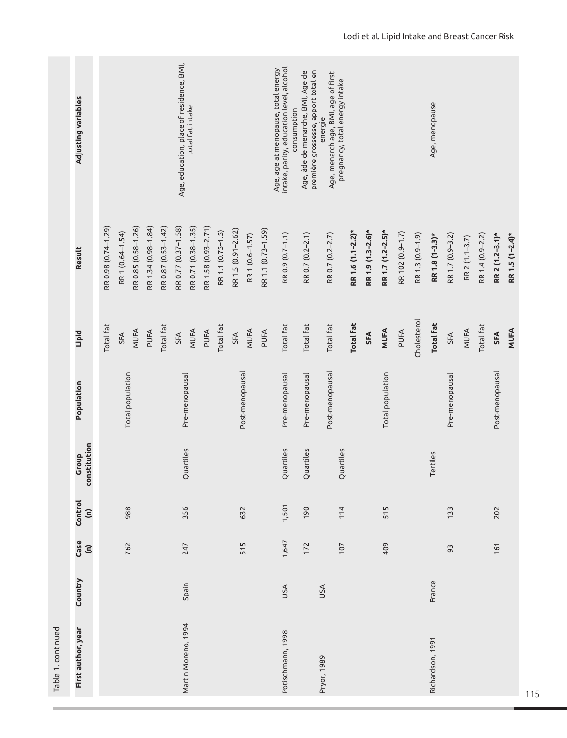| Table 1. continued  |            |                              |                                 |                       |                  |                  |                     |                                                                                                |
|---------------------|------------|------------------------------|---------------------------------|-----------------------|------------------|------------------|---------------------|------------------------------------------------------------------------------------------------|
| First author, year  | Country    | Case<br>$\widehat{\epsilon}$ | Control<br>$\widehat{\epsilon}$ | constitution<br>Group | Population       | <b>Lipid</b>     | Result              | Adjusting variables                                                                            |
|                     |            |                              |                                 |                       |                  | Total fat        | RR 0.98 (0.74-1.29) |                                                                                                |
|                     |            | 762                          | 988                             |                       | Total population | SFA              | RR 1 (0.64-1.54)    |                                                                                                |
|                     |            |                              |                                 |                       |                  | MUFA             | RR 0.85 (0.58-1.26) |                                                                                                |
|                     |            |                              |                                 |                       |                  | PUFA             | RR 1.34 (0.98-1.84) |                                                                                                |
|                     |            |                              |                                 |                       |                  | Total fat        | RR 0.87 (0.53-1.42) |                                                                                                |
|                     |            |                              |                                 |                       |                  | SFA              | RR 0.77 (0.37-1.58) | Age, education, place of residence, BMI,                                                       |
| Martin Moreno, 1994 | Spain      | 247                          | 356                             | Quartiles             | Pre-menopausal   | MUFA             | RR 0.71 (0.38-1.35) | total fat intake                                                                               |
|                     |            |                              |                                 |                       |                  | PUFA             | RR 1.58 (0.93-2.71) |                                                                                                |
|                     |            |                              |                                 |                       |                  | Total fat        | RR 1.1 (0.75-1.5)   |                                                                                                |
|                     |            |                              |                                 |                       |                  | SFA              | RR 1.5 (0.91-2.62)  |                                                                                                |
|                     |            | 515                          | 632                             |                       | Post-menopausal  | MUFA             | RR 1 (0.6-1.57)     |                                                                                                |
|                     |            |                              |                                 |                       |                  | PUFA             | RR 1.1 (0.73-1.59)  |                                                                                                |
| Potischmann, 1998   | USA        | 1,647                        | 1,501                           | Quartiles             | Pre-menopausal   | Total fat        | RR 0.9 (0.7-1.1)    | intake, parity, education level, alcohol<br>Age, age at menopause, total energy<br>consumption |
|                     |            | 172                          | 190                             | Quartiles             | Pre-menopausal   | Total fat        | RR 0.7 (0.2-2.1)    | première grossesse, apport total en<br>Age, âde de menarche, BMI, Age de                       |
| Pryor, 1989         | <b>USA</b> | 107                          | 114                             | Quartiles             | Post-menopausal  | Total fat        | RR 0.7 (0.2-2.7)    | Age, menarch age, BMI, age of first<br>pregnancy, total energy intake<br>energie               |
|                     |            |                              |                                 |                       |                  | <b>Total fat</b> | RR 1.6 (1.1-2.2)*   |                                                                                                |
|                     |            |                              |                                 |                       |                  | <b>SFA</b>       | RR 1.9 (1.3-2.6)*   |                                                                                                |
|                     |            | 409                          | 515                             |                       | Total population | MUFA             | RR 1.7 (1.2-2.5)*   |                                                                                                |
|                     |            |                              |                                 |                       |                  | PUFA             | RR 102 (0.9-1.7)    |                                                                                                |
|                     |            |                              |                                 |                       |                  | Cholesterol      | RR 1.3 (0.9-1.9)    |                                                                                                |
| Richardson, 1991    | France     |                              |                                 | Tertiles              |                  | <b>Total fat</b> | RR 1.8 (1-3.3)*     | Age, menopause                                                                                 |
|                     |            | 93                           | 133                             |                       | Pre-menopausal   | SFA              | RR 1.7 (0.9-3.2)    |                                                                                                |
|                     |            |                              |                                 |                       |                  | MUFA             | RR 2 (1.1-3.7)      |                                                                                                |
|                     |            |                              |                                 |                       |                  | Total fat        | RR 1.4 (0.9-2.2)    |                                                                                                |
|                     |            | 161                          | 202                             |                       | Post-menopausal  | SFA              | RR 2 (1.2-3.1)*     |                                                                                                |
|                     |            |                              |                                 |                       |                  | <b>MUFA</b>      | RR 1.5 (1-2.4)*     |                                                                                                |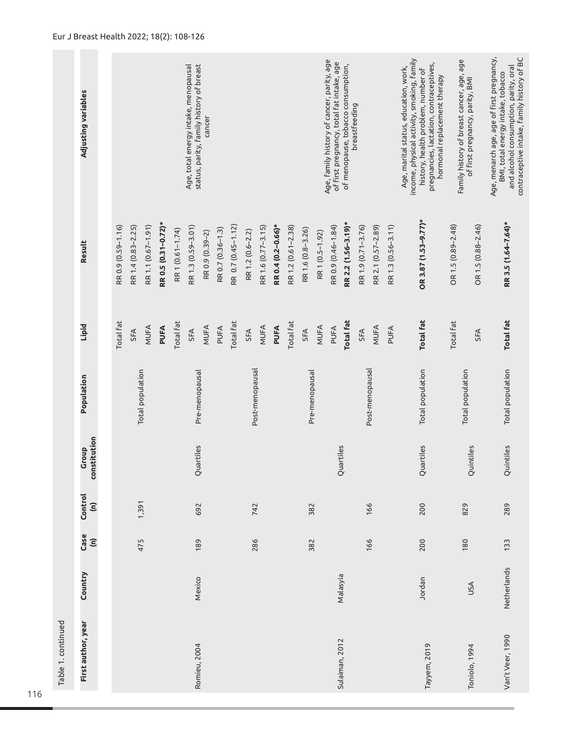|                    | Adjusting variables             |                    |                    |                    |                     |                  | status, parity, family history of breast<br>Age, total energy intake, menopausal | cancer          |                   |                    |                  |                    |                    |                    |                   |                | Age, family history of cancer, parity, age<br>of first pregnancy, total fat intake, age | of menopause, tobacco consumption, | breastfeeding      |                    |                    | income, physical activity, smoking, family<br>pregnancies, lactation, contraceptives,<br>Age, marital status, education, work,<br>history, health problem, number of<br>hormonal replacement therapy | Family history of breast cancer, age, age | of first pregnancy, parity, BMI | Age, menarch age, age of first pregnancy,<br>contraceptive intake, family history of BC<br>and alcohol consumption, parity, oral<br>BMI, total energy intake, tobacco |
|--------------------|---------------------------------|--------------------|--------------------|--------------------|---------------------|------------------|----------------------------------------------------------------------------------|-----------------|-------------------|--------------------|------------------|--------------------|--------------------|--------------------|-------------------|----------------|-----------------------------------------------------------------------------------------|------------------------------------|--------------------|--------------------|--------------------|------------------------------------------------------------------------------------------------------------------------------------------------------------------------------------------------------|-------------------------------------------|---------------------------------|-----------------------------------------------------------------------------------------------------------------------------------------------------------------------|
|                    | Result                          | RR 0.9 (0.59-1.16) | RR 1.4 (0.83-2.25) | RR 1.1 (0.67-1.91) | RR 0.5 (0.31-0.72)* | RR1 (0.61-1.74)  | RR 1.3 (0.59-3.01)                                                               | RR 0.9 (0.39-2) | RR 0.7 (0.36-1.3) | RR 0.7 (0.45-1.12) | RR 1.2 (0.6-2.2) | RR 1.6 (0.77-3.15) | RR 0.4 (0.2-0.66)* | RR 1.2 (0.61-2.38) | RR 1.6 (0.8-3.26) | RR1 (0.5-1.92) | RR 0.9 (0.46-1.84)                                                                      | RR 2.2 (1.56-3.19)*                | RR 1.9 (0.71-3.76) | RR 2.1 (0.57-2.89) | RR 1.3 (0.56-3.11) | OR 3.87 (1.53-9.77)*                                                                                                                                                                                 | OR 1.5 (0.89-2.48)                        | OR 1.5 (0.88-2.46)              | RR 3.5 (1.64-7.64)*                                                                                                                                                   |
|                    | <b>Lipid</b>                    | Total fat          | SFA                | MUFA               | PUFA                | <b>Total fat</b> | SFA                                                                              | MUFA            | PUFA              | <b>Total fat</b>   | SFA              | MUFA               | PUFA               | Total fat          | SFA               | MUFA           | PUFA                                                                                    | <b>Total fat</b>                   | SFA                | MUFA               | PUFA               | <b>Total fat</b>                                                                                                                                                                                     | <b>Total fat</b>                          | SFA                             | <b>Total fat</b>                                                                                                                                                      |
|                    | Population                      |                    |                    | Total population   |                     |                  | Pre-menopausal                                                                   |                 |                   |                    | Post-menopausal  |                    |                    |                    | Pre-menopausal    |                |                                                                                         |                                    |                    | Post-menopausal    |                    | Total population                                                                                                                                                                                     | Total population                          |                                 | Total population                                                                                                                                                      |
|                    | constitution<br>Group           |                    |                    |                    |                     |                  | Quartiles                                                                        |                 |                   |                    |                  |                    |                    |                    |                   |                |                                                                                         | Quartiles                          |                    |                    |                    | Quartiles                                                                                                                                                                                            |                                           | Quintiles                       | Quintiles                                                                                                                                                             |
|                    | Control<br>$\widehat{\epsilon}$ |                    |                    | 1,391              |                     |                  | 692                                                                              |                 |                   |                    | 742              |                    |                    |                    | 382               |                |                                                                                         |                                    |                    | 166                |                    | 200                                                                                                                                                                                                  | 829                                       |                                 | 289                                                                                                                                                                   |
|                    | Case<br>$\widehat{\epsilon}$    |                    |                    | 475                |                     |                  | 189                                                                              |                 |                   |                    | 286              |                    |                    |                    | 382               |                |                                                                                         |                                    |                    | 166                |                    | 200                                                                                                                                                                                                  | 180                                       |                                 | 133                                                                                                                                                                   |
|                    | Country                         |                    |                    |                    |                     |                  | Mexico                                                                           |                 |                   |                    |                  |                    |                    |                    |                   |                |                                                                                         | Malasyia                           |                    |                    |                    | Jordan                                                                                                                                                                                               |                                           | USA                             | Netherlands                                                                                                                                                           |
| Table 1. continued | First author, year              |                    |                    |                    |                     |                  | Romieu, 2004                                                                     |                 |                   |                    |                  |                    |                    |                    |                   |                |                                                                                         | Sulaiman, 2012                     |                    |                    |                    | Tayyem, 2019                                                                                                                                                                                         |                                           | Toniolo, 1994                   | Van't Veer, 1990                                                                                                                                                      |
|                    |                                 |                    |                    |                    |                     |                  |                                                                                  |                 |                   |                    |                  |                    |                    |                    |                   |                |                                                                                         |                                    |                    |                    |                    |                                                                                                                                                                                                      |                                           |                                 |                                                                                                                                                                       |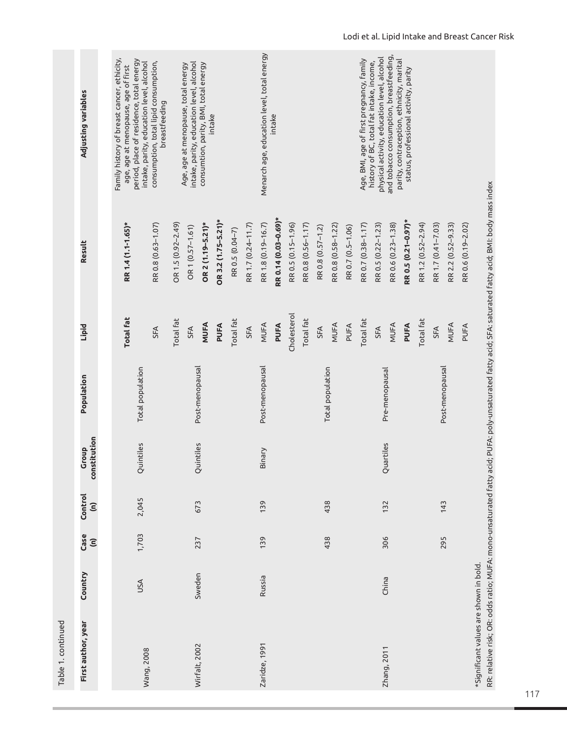| Table 1. continued                     |         |                              |                                 |                       |                  |                  |                                                                                                                                                          |                                                                                                                                                                           |
|----------------------------------------|---------|------------------------------|---------------------------------|-----------------------|------------------|------------------|----------------------------------------------------------------------------------------------------------------------------------------------------------|---------------------------------------------------------------------------------------------------------------------------------------------------------------------------|
| First author, year                     | Country | Case<br>$\widehat{\epsilon}$ | Control<br>$\widehat{\epsilon}$ | constitution<br>Group | Population       | <b>Lipid</b>     | Result                                                                                                                                                   | Adjusting variables                                                                                                                                                       |
|                                        |         |                              |                                 |                       |                  |                  |                                                                                                                                                          |                                                                                                                                                                           |
|                                        | USA     | 1,703                        | 2,045                           | Quintiles             | Total population | <b>Total fat</b> | RR 1.4 (1.1-1.65)*                                                                                                                                       | -amily history of breast cancer, ethicity,<br>period, place of residence, total energy<br>intake, parity, education level, alcohol<br>age, age at menopause, age of first |
| Wang, 2008                             |         |                              |                                 |                       |                  | SFA              | RR 0.8 (0.63-1.07)                                                                                                                                       | consumption, total lipid consumption,<br>breastfeeding                                                                                                                    |
|                                        |         |                              |                                 |                       |                  | Total fat        | OR 1.5 (0.92-2.49)                                                                                                                                       |                                                                                                                                                                           |
| Wirfalt, 2002                          | Sweden  | 237                          | 673                             | Quintiles             |                  | SFA              | OR 1 (0.57-1.61)                                                                                                                                         | intake, parity, education level, alcohol<br>Age, age at menopause, total energy                                                                                           |
|                                        |         |                              |                                 |                       | Post-menopausal  | MUFA             | OR 2 (1.19-5.21)*                                                                                                                                        | consumtion, parity, BMI, total energy<br>intake                                                                                                                           |
|                                        |         |                              |                                 |                       |                  | PUFA             | OR 3.2 (1.75-5.21)*                                                                                                                                      |                                                                                                                                                                           |
|                                        |         |                              |                                 |                       |                  | Total fat        | RR 0.5 (0.04-7)                                                                                                                                          |                                                                                                                                                                           |
|                                        |         |                              |                                 |                       |                  | SFA              | RR 1.7 (0.24-11.7)                                                                                                                                       |                                                                                                                                                                           |
| Zaridze, 1991                          | Russia  | 139                          | 139                             | Binary                | Post-menopausal  | MUFA             | RR 1.8 (0.19-16.7)                                                                                                                                       | Menarch age, education level, total energy                                                                                                                                |
|                                        |         |                              |                                 |                       |                  | PUFA             | RR 0.14 (0.03-0.69)*                                                                                                                                     | intake                                                                                                                                                                    |
|                                        |         |                              |                                 |                       |                  | Cholesterol      | RR 0.5 (0.15-1.96)                                                                                                                                       |                                                                                                                                                                           |
|                                        |         |                              |                                 |                       |                  | Total fat        | RR 0.8 (0.56-1.17)                                                                                                                                       |                                                                                                                                                                           |
|                                        |         |                              |                                 |                       |                  | SFA              | RR 0.8 (0.57-1.2)                                                                                                                                        |                                                                                                                                                                           |
|                                        |         | 438                          | 438                             |                       | Total population | MUFA             | RR 0.8 (0.58-1.22)                                                                                                                                       |                                                                                                                                                                           |
|                                        |         |                              |                                 |                       |                  | PUFA             | RR 0.7 (0.5-1.06)                                                                                                                                        |                                                                                                                                                                           |
|                                        |         |                              |                                 |                       |                  | Total fat        | RR 0.7 (0.38-1.17)                                                                                                                                       | Age, BMI, age of first pregnancy, family                                                                                                                                  |
|                                        | China   | 306                          |                                 |                       |                  | SFA              | RR 0.5 (0.22-1.23)                                                                                                                                       | physical activity, education level, alcohol<br>history of BC, total fat intake, income,                                                                                   |
| Zhang, 2011                            |         |                              | 132                             | Quartiles             | Pre-menopausal   | MUFA             | RR 0.6 (0.23-1.38)                                                                                                                                       | and tobacco consumption, breastfeeding,<br>parity, contraception, ethnicity, marital                                                                                      |
|                                        |         |                              |                                 |                       |                  | PUFA             | RR 0.5 (0.21-0.97)*                                                                                                                                      | status, professional activity, parity                                                                                                                                     |
|                                        |         |                              |                                 |                       |                  | Total fat        | RR 1.2 (0.52-2.94)                                                                                                                                       |                                                                                                                                                                           |
|                                        |         |                              |                                 |                       |                  | SFA              | RR 1.7 (0.41-7.03)                                                                                                                                       |                                                                                                                                                                           |
|                                        |         | 295                          | 143                             |                       | Post-menopausal  | MUFA             | RR 2.2 (0.52-9.33)                                                                                                                                       |                                                                                                                                                                           |
|                                        |         |                              |                                 |                       |                  | PUFA             | RR 0.6 (0.19-2.02)                                                                                                                                       |                                                                                                                                                                           |
| *Significant values are shown in bold. |         |                              |                                 |                       |                  |                  | RR: relative risk; OR: odds ratio; MUFA: mono-unsaturated fatty acid; PUFA: poly-unsaturated fatty acid; SFA: saturated fatty acid; BMI: body mass index |                                                                                                                                                                           |

117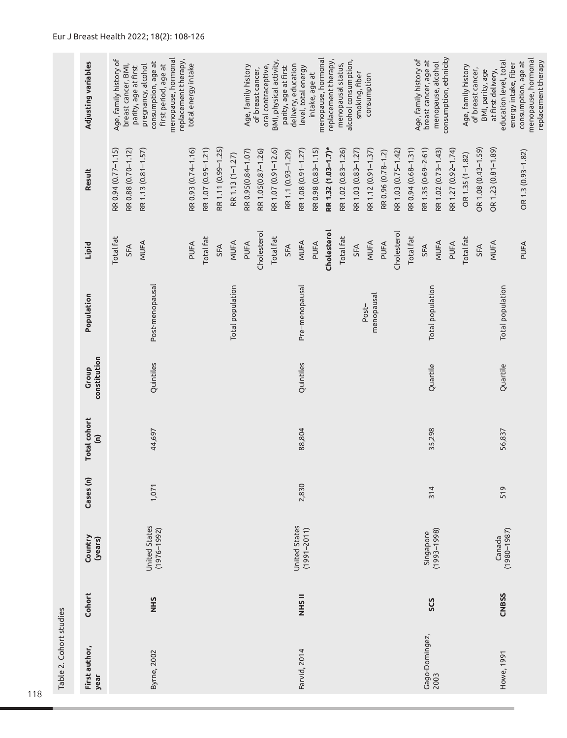| Table 2. Cohort studies |              |                                         |           |                                             |                       |                     |                                                        |                                                                                                                 |                                                                                                                                                                                                           |
|-------------------------|--------------|-----------------------------------------|-----------|---------------------------------------------|-----------------------|---------------------|--------------------------------------------------------|-----------------------------------------------------------------------------------------------------------------|-----------------------------------------------------------------------------------------------------------------------------------------------------------------------------------------------------------|
| First author,<br>year   | Cohort       | Country<br>(years)                      | Cases (n) | <b>Total cohort</b><br>$\widehat{\epsilon}$ | constitution<br>Group | Population          | Lipid                                                  | Result                                                                                                          | Adjusting variables                                                                                                                                                                                       |
| Byrne, 2002             | <b>NHS</b>   | United States<br>$(1976 - 1992)$        | 1,071     | 44,697                                      | Quintiles             | Post-menopausal     | Total fat<br>MUFA<br>SFA                               | RR 0.94 (0.77-1.15)<br>RR 0.88 (0.70-1.12)<br>RR 1.13 (0.81-1.57)                                               | menopause, hormonal<br>Age, family history of<br>replacement therapy,<br>consumption, age at<br>breast cancer, BMI,<br>first period, age at<br>pregnancy, alcohol<br>parity, age at first                 |
|                         |              |                                         |           |                                             |                       |                     | Total fat<br>PUFA<br>SFA                               | RR 1.11 (0.99-1.25)<br>RR 1.07 (0.95-1.21)<br>RR 0.93 (0.74-1.16)                                               | total energy intake                                                                                                                                                                                       |
|                         |              |                                         |           |                                             |                       | Total population    | MUFA<br>PUFA                                           | RR 0.95(0.84-1.07)<br>RR 1.13 (1-1.27)                                                                          | Age, family history                                                                                                                                                                                       |
|                         |              |                                         |           |                                             |                       |                     | Cholesterol<br>Total fat                               | RR 1.07 (0.91-12.6)<br>RR 1.05(0.87-1.26)                                                                       | BMI, physical activity,<br>oral contraceptive,<br>parity, age at first<br>of breast cancer,                                                                                                               |
| Farvid, 2014            | <b>NHSII</b> | <b>United States</b><br>$(1991 - 2011)$ | 2,830     | 88,804                                      | Quintiles             | Pre-menopausal      | MUFA<br>PUFA<br>SFA                                    | RR 1.08 (0.91-1.27)<br>RR 0.98 (0.83-1.15)<br>RR 1.1 (0.93-1.29)                                                | menopause, hormonal<br>delivery, education<br>level, total energy<br>intake, age at                                                                                                                       |
|                         |              |                                         |           |                                             |                       | menopausal<br>Post- | Cholesterol<br><b>Total fat</b><br>MUFA<br>PUFA<br>SFA | RR 1.32 (1.03-1.7)*<br>RR 1.02 (0.83-1.26)<br>RR 1.03 (0.83-1.27)<br>RR 1.12 (0.91-1.37)<br>RR 0.96 (0.78-1.2)  | replacement therapy,<br>alcohol consumption,<br>menopausal status,<br>smoking, fiber<br>consumption                                                                                                       |
| Gago-Domingez,<br>2003  | SCS          | $(1993 - 1998)$<br>Singapore            | 314       | 35,298                                      | Quartile              | Total population    | Cholesterol<br>Total fat<br>MUFA<br>PUFA<br>SFA        | RR 0.94 (0.68-1.31)<br>RR 1.35 (0.69-2.61)<br>RR 1.27 (0.92-1.74)<br>RR 1.03 (0.75-1.42)<br>RR 1.02 (0.73-1.43) | consumption, ethnicity<br>Age, family history of<br>breast cancer, age at<br>menopause, alcohol                                                                                                           |
| Howe, 1991              | <b>CNBSS</b> | $(1980 - 1987)$<br>Canada               | 519       | 56,837                                      | Quartile              | Total population    | Total fat<br>MUFA<br>PUFA<br>SFA                       | OR 1.08 (0.43-1.59)<br>OR 1.23 (0.81-1.89)<br>OR 1.3 (0.93-1.82)<br>OR 1.35 (1-1.82)                            | menopause, hormonal<br>education level, total<br>replacement therapy<br>consumption, age at<br>energy intake, fiber<br>Age, family history<br>of breast cancer,<br>at first delivery,<br>BMI, parity, age |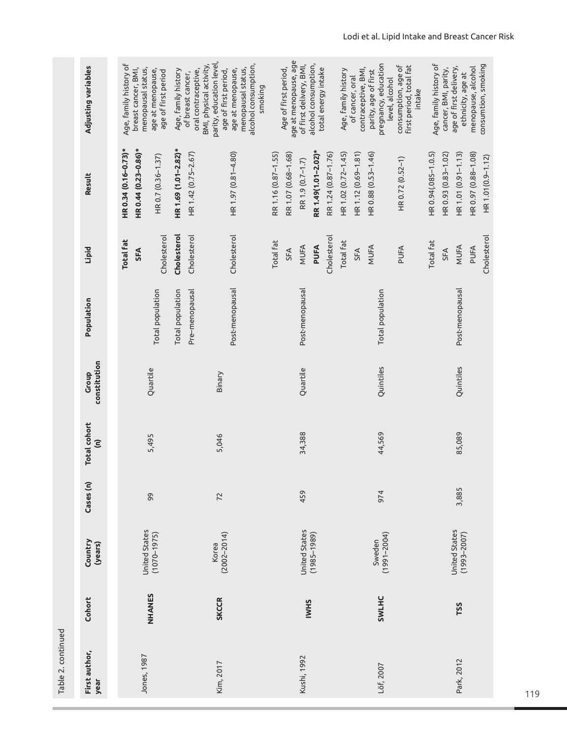Table 2. continued Table 2. continued

| I an re 10 I rinnen   |              |                                  |           |                                      |                       |                         |                  |                      |                                                                            |
|-----------------------|--------------|----------------------------------|-----------|--------------------------------------|-----------------------|-------------------------|------------------|----------------------|----------------------------------------------------------------------------|
| First author,<br>year | Cohort       | Country<br>(years)               | Cases (n) | Total cohort<br>$\widehat{\epsilon}$ | constitution<br>Group | Population              | Lipid            | Result               | Adjusting variables                                                        |
|                       |              |                                  |           |                                      |                       |                         | <b>Total fat</b> | HR 0.34 (0.16-0.73)* | Age, family history of                                                     |
| Jones, 1987           |              | <b>United States</b>             |           |                                      |                       |                         | SFA              | HR 0.44 (0.23-0.86)* | breast cancer, BMI,<br>menopausal status,                                  |
|                       | NHANES       | $(1070 - 1975)$                  | 99        | 5,495                                | Quartile              | Total population        | Cholesterol      | HR 0.7 (0.36-1.37)   | age at menopause,<br>age of first period                                   |
|                       |              |                                  |           |                                      |                       | Total population        | Cholesterol      | HR 1.69 (1.01-2.82)* | Age, family history                                                        |
|                       |              |                                  |           |                                      |                       | Pre-menopausal          | Cholesterol      | HR 1.42 (0.75-2.67)  | BMI, physical activity,<br>oral contraceptive,<br>of breast cancer,        |
| Kim, 2017             | <b>SKCCR</b> | $(2002 - 2014)$<br>Korea         | 72        | 5,046                                | Binary                |                         |                  |                      | parity, education level,<br>age of first period,                           |
|                       |              |                                  |           |                                      |                       | Post-menopausal         | Cholesterol      | HR 1.97 (0.81-4.80)  | alcohol consumption,<br>menopausal status,<br>age at menopause,<br>smoking |
|                       |              |                                  |           |                                      |                       |                         | Total fat        | RR 1.16 (0.87-1.55)  |                                                                            |
|                       |              |                                  |           |                                      |                       |                         | SFA              | RR 1.07 (0.68-1.68)  | age at menopause, age<br>Age of first period,                              |
| Kushi, 1992           |              | United States                    | 459       | 34,388                               | Quartile              | Post-menopausal         | MUFA             | RR 1.9 (0.7-1.7)     | of first delivery, BMI,                                                    |
|                       | <b>IWHS</b>  | $(1985 - 1989)$                  |           |                                      |                       |                         | PUFA             | RR 1.49(1.01-2.02)*  | alcohol consumption,<br>total energy intake                                |
|                       |              |                                  |           |                                      |                       |                         | Cholesterol      | RR 1.24 (0.87-1.76)  |                                                                            |
|                       |              |                                  |           |                                      |                       |                         | Total fat        | HR 1.02 (0.72-1.45)  | Age, family history                                                        |
|                       |              |                                  |           |                                      |                       |                         | <b>SFA</b>       | HR 1.12 (0.69-1.81)  | contraceptive, BMI,<br>of cancer, oral                                     |
|                       |              | Sweden                           |           |                                      |                       |                         | MUFA             | HR 0.88 (0.53-1.46)  | parity, age of first                                                       |
| Löf, 2007             | SWLHC        | $(1991 - 2004)$                  | 974       | 44,569                               | Quintiles             | <b>Total</b> population |                  |                      | pregnancy, education<br>level, alcohol                                     |
|                       |              |                                  |           |                                      |                       |                         | PUFA             | HR 0.72 (0.52-1)     | consumption, age of<br>first period, total fat<br>intake                   |
|                       |              |                                  |           |                                      |                       |                         | Total fat        | HR 0.94(.085-1.0.5)  | Age, family history of                                                     |
|                       |              |                                  |           |                                      |                       |                         | SFA              | HR 0.93 (0.83-1.02)  | cancer, BMI, parity,                                                       |
| Park, 2012            | TSS          | United States<br>$(1993 - 2007)$ | 3,885     | 85,089                               | Quintiles             | Post-menopausal         | MUFA             | HR 1.01 (0.91-1.13)  | age of first delivery,<br>ethnicity, age at                                |
|                       |              |                                  |           |                                      |                       |                         | PUFA             | HR 0.97 (0.88-1.08)  | menopause, alcohol                                                         |
|                       |              |                                  |           |                                      |                       |                         | Cholesterol      | HR 1.01(0.9-1.12)    | consumtion, smoking                                                        |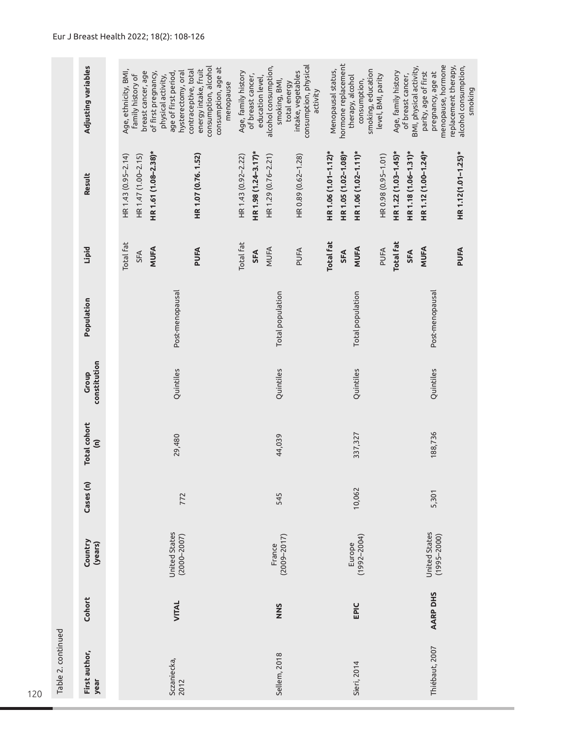|                    | Adjusting variables                         | consumption, alcohol<br>consumption, age at<br>energy intake, fruit<br>Age, ethnicity, BMI,<br>contraceptive, total<br>breast cancer, age<br>of first pregnancy,<br>hysterectomy, oral<br>age of first period,<br>family history of<br>physical activity,<br>menopause | consumption, physical<br>alcohol consumption,<br>Age, family history<br>intake, vegetables<br>of breast cancer,<br>education level,<br>smoking, BMI,<br>total energy<br>activity | hormone replacement<br>smoking, education<br>Menopausal status,<br>level, BMI, parity<br>therapy, alcohol<br>consumption, | menopause, hormone<br>replacement therapy,<br>BMI, physical activity,<br>alcohol consumption,<br>Age, family history<br>parity, age of first<br>pregnancy, age at<br>of breast cancer,<br>smoking |  |  |  |
|--------------------|---------------------------------------------|------------------------------------------------------------------------------------------------------------------------------------------------------------------------------------------------------------------------------------------------------------------------|----------------------------------------------------------------------------------------------------------------------------------------------------------------------------------|---------------------------------------------------------------------------------------------------------------------------|---------------------------------------------------------------------------------------------------------------------------------------------------------------------------------------------------|--|--|--|
|                    | Result                                      | HR 1.61 (1.08-2.38)*<br>HR 1.07 (0.76.1.52)<br>HR 1.43 (0.95-2.14)<br>HR 1.47 (1.00-2.15)                                                                                                                                                                              | HR 1.98 (1.24-3.17)*<br>HR 1.29 (0.76-2.21)<br>HR 1.43 (0.92-2.22)<br>HR 0.89 (0.62-1.28)                                                                                        | HR 1.06 (1.01-1.12)*<br>HR 1.05 (1.02-1.08)*<br>HR 1.06 (1.02-1.11)*<br>HR 0.98 (0.95-1.01)                               | HR 1.22 (1.03-1.45)*<br>HR 1.18 (1.06-1.31)*<br>HR 1.12 (1.00-1.24)*<br>HR 1.12(1.01-1.25)*                                                                                                       |  |  |  |
|                    | Lipid                                       | Total fat<br>MUFA<br>PUFA<br><b>SFA</b>                                                                                                                                                                                                                                | Total fat<br>MUFA<br>PUFA<br>SFA                                                                                                                                                 | <b>Total fat</b><br>MUFA<br>PUFA<br>SFA                                                                                   | <b>Total fat</b><br>MUFA<br>PUFA<br><b>SFA</b>                                                                                                                                                    |  |  |  |
|                    | Population                                  | Post-menopausal                                                                                                                                                                                                                                                        | Total population                                                                                                                                                                 | Total population                                                                                                          | Post-menopausal                                                                                                                                                                                   |  |  |  |
|                    | constitution<br>Group                       | Quintiles                                                                                                                                                                                                                                                              | Quintiles                                                                                                                                                                        | Quintiles                                                                                                                 | Quintiles                                                                                                                                                                                         |  |  |  |
|                    | <b>Total cohort</b><br>$\widehat{\epsilon}$ | 29,480                                                                                                                                                                                                                                                                 | 44,039                                                                                                                                                                           | 337,327                                                                                                                   | 188,736                                                                                                                                                                                           |  |  |  |
|                    | Cases (n)                                   | 772                                                                                                                                                                                                                                                                    | 545                                                                                                                                                                              | 10,062                                                                                                                    | 5,301                                                                                                                                                                                             |  |  |  |
|                    | Country<br>(years)                          | United States<br>$(2000 - 2007)$                                                                                                                                                                                                                                       | $(2009 - 2017)$<br>France                                                                                                                                                        | $(1992 - 2004)$<br>Europe                                                                                                 | <b>United States</b><br>$(1995 - 2000)$                                                                                                                                                           |  |  |  |
|                    | Cohort                                      | VITAL                                                                                                                                                                                                                                                                  | NNS                                                                                                                                                                              | EPIC                                                                                                                      | AARP DHS                                                                                                                                                                                          |  |  |  |
| Table 2. continued | First author,<br>year                       | Sczaniecka,<br>2012                                                                                                                                                                                                                                                    | Sellem, 2018                                                                                                                                                                     | Sieri, 2014                                                                                                               | Thiébaut, 2007                                                                                                                                                                                    |  |  |  |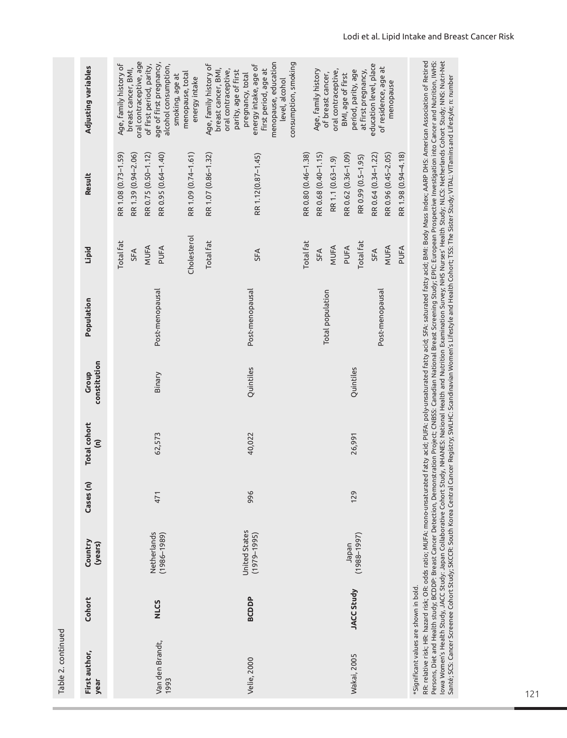| Table 2. continued                     |              |                                                                            |           |                                             |                       |                                     |                                                              |                                                                                                                                                                                                                                       |                                                                                                                                                                                                                                                                                                                                                                                                                                                                                                                                                                               |
|----------------------------------------|--------------|----------------------------------------------------------------------------|-----------|---------------------------------------------|-----------------------|-------------------------------------|--------------------------------------------------------------|---------------------------------------------------------------------------------------------------------------------------------------------------------------------------------------------------------------------------------------|-------------------------------------------------------------------------------------------------------------------------------------------------------------------------------------------------------------------------------------------------------------------------------------------------------------------------------------------------------------------------------------------------------------------------------------------------------------------------------------------------------------------------------------------------------------------------------|
| First author,<br>year                  | Cohort       | Country<br>(years)                                                         | Cases (n) | <b>Total cohort</b><br>$\widehat{\epsilon}$ | constitution<br>Group | Population                          | Lipid                                                        | Result                                                                                                                                                                                                                                | Adjusting variables                                                                                                                                                                                                                                                                                                                                                                                                                                                                                                                                                           |
| Van den Brandt,<br>1993                | <b>NLCS</b>  | Netherlands<br>$(1986 - 1989)$                                             | 471       | 62,573                                      | Binary                | Post-menopausal                     | Cholesterol<br><b>Total fat</b><br>MUFA<br>PUFA<br>SFA       | RR 1.08 (0.73-1.59)<br>RR 1.09 (0.74-1.61)<br>RR 0.75 (0.50-1.12)<br>RR 0.95 (0.64-1.40)<br>RR 1.39 (0.94-2.06)                                                                                                                       | oral contraceptive, age<br>age of first pregnancy,<br>Age, family history of<br>of first period, parity,<br>alcohol consumption,<br>breast cancer, BMI,<br>menopause, total<br>smoking, age at<br>energy intake                                                                                                                                                                                                                                                                                                                                                               |
| Velie, 2000                            | <b>BCDDP</b> | United States<br>$(1979 - 1995)$                                           | 996       | 40,022                                      | Quintiles             | Post-menopausal                     | <b>Total fat</b><br><b>SFA</b>                               | RR 1.07 (0.86-1.32)<br>RR 1.12(0.87-1.45)                                                                                                                                                                                             | menopause, education<br>consumption, smoking<br>Age, family history of<br>energy intake, age of<br>breast cancer, BMI,<br>first period, age at<br>oral contraceptive,<br>parity, age of first<br>pregnancy, total<br>level, alcohol                                                                                                                                                                                                                                                                                                                                           |
| Wakai, 2005                            | JACC Study   | $(1988 - 1997)$<br>Japan                                                   | 129       | 26,991                                      | Quintiles             | Post-menopausal<br>Total population | Total fat<br>Total fat<br>MUFA<br>MUFA<br>PUFA<br>SFA<br>SFA | RR 0.80 (0.46-1.38)<br>RR 0.68 (0.40-1.15)<br>RR 0.62 (0.36-1.09)<br>RR 0.64 (0.34-1.22)<br>RR 0.96 (0.45-2.05)<br>RR 0.99 (0.5-1.95)<br>RR 1.1 (0.63-1.9)                                                                            | education level, place<br>of residence, age at<br>Age, family history<br>oral contraceptive,<br>period, parity, age<br>at first pregnancy,<br>of breast cancer,<br>BMI, age of first<br>menopause                                                                                                                                                                                                                                                                                                                                                                             |
| *Significant values are shown in bold. |              | RR: relative risk; HR: hazard risk; OR: odds ratio; MUFA: mono-unsaturated |           |                                             |                       |                                     | PUFA                                                         | Santé; SCS: Cancer Screenee Cohort Study; SKCCR: South Korea Central Cancer Registry; SWLHC: Scandinavian Women's Lifestyle and Health Cohort; TSS: The Sister Study; VITAL: VITamins and Lifestyle; n: number<br>RR 1.98 (0.94-4.18) | lowa Women's Health Study, JACC Study: Japan Collaborative Cohort Study, NHANES: National Health and Nutrition Examination Survey; NHS Nurses' Health Study; NLCS: Netherlands Cohort Study; NNS: Nutri-Net<br>fatty acid; PUFA: poly-unsaturated fatty acid; SFA: saturated fatty acid; BMI: Body Mass Index; AARP DHS: American Association of Retired<br>Persons, Diet and Health study; BCDDP: Breast Cancer Detection, Demonstration Project; CNBSS: Canadian National Breast Screening Study; EPIC: European Prospective Investigation into Cancer and Nutrition, IWHS: |

121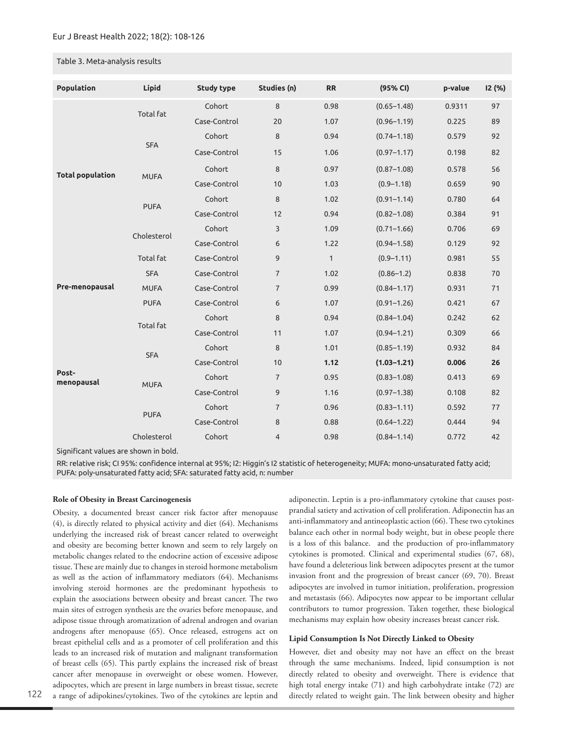## Table 3. Meta-analysis results

| Population              | Lipid            | <b>Study type</b> | Studies (n)    | <b>RR</b>    | (95% CI)        | p-value | I2 (%) |
|-------------------------|------------------|-------------------|----------------|--------------|-----------------|---------|--------|
|                         | <b>Total fat</b> | Cohort            | 8              | 0.98         | $(0.65 - 1.48)$ | 0.9311  | 97     |
|                         |                  | Case-Control      | 20             | 1.07         | $(0.96 - 1.19)$ | 0.225   | 89     |
|                         |                  | Cohort            | 8              | 0.94         | $(0.74 - 1.18)$ | 0.579   | 92     |
|                         | <b>SFA</b>       | Case-Control      | 15             | 1.06         | $(0.97 - 1.17)$ | 0.198   | 82     |
| <b>Total population</b> | <b>MUFA</b>      | Cohort            | 8              | 0.97         | $(0.87 - 1.08)$ | 0.578   | 56     |
|                         |                  | Case-Control      | 10             | 1.03         | $(0.9 - 1.18)$  | 0.659   | 90     |
|                         | <b>PUFA</b>      | Cohort            | 8              | 1.02         | $(0.91 - 1.14)$ | 0.780   | 64     |
|                         |                  | Case-Control      | 12             | 0.94         | $(0.82 - 1.08)$ | 0.384   | 91     |
|                         | Cholesterol      | Cohort            | 3              | 1.09         | $(0.71 - 1.66)$ | 0.706   | 69     |
|                         |                  | Case-Control      | 6              | 1.22         | $(0.94 - 1.58)$ | 0.129   | 92     |
|                         | <b>Total fat</b> | Case-Control      | 9              | $\mathbf{1}$ | $(0.9 - 1.11)$  | 0.981   | 55     |
|                         | <b>SFA</b>       | Case-Control      | $\overline{7}$ | 1.02         | $(0.86 - 1.2)$  | 0.838   | 70     |
| Pre-menopausal          | <b>MUFA</b>      | Case-Control      | $\overline{7}$ | 0.99         | $(0.84 - 1.17)$ | 0.931   | 71     |
|                         | <b>PUFA</b>      | Case-Control      | 6              | 1.07         | $(0.91 - 1.26)$ | 0.421   | 67     |
|                         | <b>Total fat</b> | Cohort            | 8              | 0.94         | $(0.84 - 1.04)$ | 0.242   | 62     |
|                         |                  | Case-Control      | 11             | 1.07         | $(0.94 - 1.21)$ | 0.309   | 66     |
|                         | <b>SFA</b>       | Cohort            | 8              | 1.01         | $(0.85 - 1.19)$ | 0.932   | 84     |
|                         |                  | Case-Control      | 10             | 1.12         | $(1.03 - 1.21)$ | 0.006   | 26     |
| Post-<br>menopausal     | <b>MUFA</b>      | Cohort            | $\overline{7}$ | 0.95         | $(0.83 - 1.08)$ | 0.413   | 69     |
|                         |                  | Case-Control      | 9              | 1.16         | $(0.97 - 1.38)$ | 0.108   | 82     |
|                         | <b>PUFA</b>      | Cohort            | $\overline{7}$ | 0.96         | $(0.83 - 1.11)$ | 0.592   | 77     |
|                         |                  | Case-Control      | 8              | 0.88         | $(0.64 - 1.22)$ | 0.444   | 94     |
|                         | Cholesterol      | Cohort            | $\overline{4}$ | 0.98         | $(0.84 - 1.14)$ | 0.772   | 42     |

Significant values are shown in bold.

RR: relative risk; CI 95%: confidence internal at 95%; I2: Higgin's I2 statistic of heterogeneity; MUFA: mono-unsaturated fatty acid; PUFA: poly-unsaturated fatty acid; SFA: saturated fatty acid, n: number

## **Role of Obesity in Breast Carcinogenesis**

Obesity, a documented breast cancer risk factor after menopause (4), is directly related to physical activity and diet (64). Mechanisms underlying the increased risk of breast cancer related to overweight and obesity are becoming better known and seem to rely largely on metabolic changes related to the endocrine action of excessive adipose tissue. These are mainly due to changes in steroid hormone metabolism as well as the action of inflammatory mediators (64). Mechanisms involving steroid hormones are the predominant hypothesis to explain the associations between obesity and breast cancer. The two main sites of estrogen synthesis are the ovaries before menopause, and adipose tissue through aromatization of adrenal androgen and ovarian androgens after menopause (65). Once released, estrogens act on breast epithelial cells and as a promoter of cell proliferation and this leads to an increased risk of mutation and malignant transformation of breast cells (65). This partly explains the increased risk of breast cancer after menopause in overweight or obese women. However, adipocytes, which are present in large numbers in breast tissue, secrete a range of adipokines/cytokines. Two of the cytokines are leptin and

adiponectin. Leptin is a pro-inflammatory cytokine that causes postprandial satiety and activation of cell proliferation. Adiponectin has an anti-inflammatory and antineoplastic action (66). These two cytokines balance each other in normal body weight, but in obese people there is a loss of this balance. and the production of pro-inflammatory cytokines is promoted. Clinical and experimental studies (67, 68), have found a deleterious link between adipocytes present at the tumor invasion front and the progression of breast cancer (69, 70). Breast adipocytes are involved in tumor initiation, proliferation, progression and metastasis (66). Adipocytes now appear to be important cellular contributors to tumor progression. Taken together, these biological mechanisms may explain how obesity increases breast cancer risk.

## **Lipid Consumption Is Not Directly Linked to Obesity**

However, diet and obesity may not have an effect on the breast through the same mechanisms. Indeed, lipid consumption is not directly related to obesity and overweight. There is evidence that high total energy intake (71) and high carbohydrate intake (72) are directly related to weight gain. The link between obesity and higher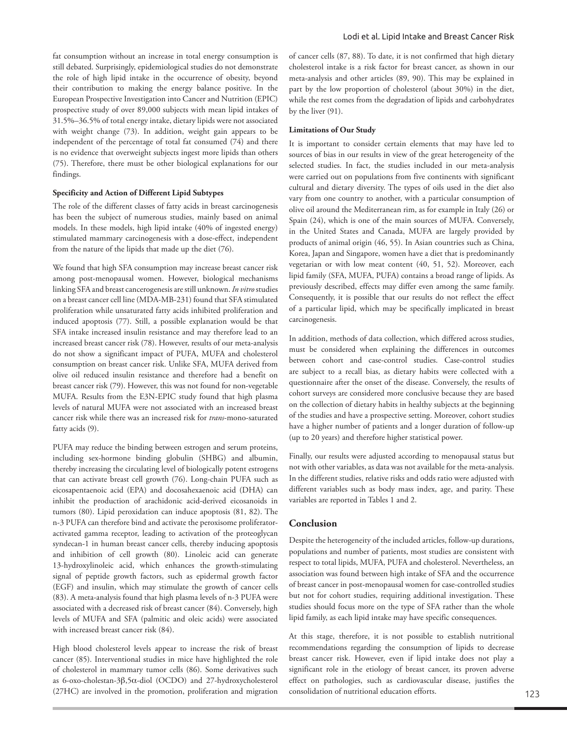fat consumption without an increase in total energy consumption is still debated. Surprisingly, epidemiological studies do not demonstrate the role of high lipid intake in the occurrence of obesity, beyond their contribution to making the energy balance positive. In the European Prospective Investigation into Cancer and Nutrition (EPIC) prospective study of over 89,000 subjects with mean lipid intakes of 31.5%–36.5% of total energy intake, dietary lipids were not associated with weight change (73). In addition, weight gain appears to be independent of the percentage of total fat consumed (74) and there is no evidence that overweight subjects ingest more lipids than others (75). Therefore, there must be other biological explanations for our findings.

## **Specificity and Action of Different Lipid Subtypes**

The role of the different classes of fatty acids in breast carcinogenesis has been the subject of numerous studies, mainly based on animal models. In these models, high lipid intake (40% of ingested energy) stimulated mammary carcinogenesis with a dose-effect, independent from the nature of the lipids that made up the diet (76).

We found that high SFA consumption may increase breast cancer risk among post-menopausal women. However, biological mechanisms linking SFA and breast cancerogenesis are still unknown. *In vitro* studies on a breast cancer cell line (MDA-MB-231) found that SFA stimulated proliferation while unsaturated fatty acids inhibited proliferation and induced apoptosis (77). Still, a possible explanation would be that SFA intake increased insulin resistance and may therefore lead to an increased breast cancer risk (78). However, results of our meta-analysis do not show a significant impact of PUFA, MUFA and cholesterol consumption on breast cancer risk. Unlike SFA, MUFA derived from olive oil reduced insulin resistance and therefore had a benefit on breast cancer risk (79). However, this was not found for non-vegetable MUFA. Results from the E3N-EPIC study found that high plasma levels of natural MUFA were not associated with an increased breast cancer risk while there was an increased risk for *trans*-mono-saturated fatty acids (9).

PUFA may reduce the binding between estrogen and serum proteins, including sex-hormone binding globulin (SHBG) and albumin, thereby increasing the circulating level of biologically potent estrogens that can activate breast cell growth (76). Long-chain PUFA such as eicosapentaenoic acid (EPA) and docosahexaenoic acid (DHA) can inhibit the production of arachidonic acid-derived eicosanoids in tumors (80). Lipid peroxidation can induce apoptosis (81, 82). The n-3 PUFA can therefore bind and activate the peroxisome proliferatoractivated gamma receptor, leading to activation of the proteoglycan syndecan-1 in human breast cancer cells, thereby inducing apoptosis and inhibition of cell growth (80). Linoleic acid can generate 13-hydroxylinoleic acid, which enhances the growth-stimulating signal of peptide growth factors, such as epidermal growth factor (EGF) and insulin, which may stimulate the growth of cancer cells (83). A meta-analysis found that high plasma levels of n-3 PUFA were associated with a decreased risk of breast cancer (84). Conversely, high levels of MUFA and SFA (palmitic and oleic acids) were associated with increased breast cancer risk (84).

High blood cholesterol levels appear to increase the risk of breast cancer (85). Interventional studies in mice have highlighted the role of cholesterol in mammary tumor cells (86). Some derivatives such as 6-oxo-cholestan-3β,5α-diol (OCDO) and 27-hydroxycholesterol (27HC) are involved in the promotion, proliferation and migration

of cancer cells (87, 88). To date, it is not confirmed that high dietary cholesterol intake is a risk factor for breast cancer, as shown in our meta-analysis and other articles (89, 90). This may be explained in part by the low proportion of cholesterol (about 30%) in the diet, while the rest comes from the degradation of lipids and carbohydrates by the liver (91).

## **Limitations of Our Study**

It is important to consider certain elements that may have led to sources of bias in our results in view of the great heterogeneity of the selected studies. In fact, the studies included in our meta-analysis were carried out on populations from five continents with significant cultural and dietary diversity. The types of oils used in the diet also vary from one country to another, with a particular consumption of olive oil around the Mediterranean rim, as for example in Italy (26) or Spain (24), which is one of the main sources of MUFA. Conversely, in the United States and Canada, MUFA are largely provided by products of animal origin (46, 55). In Asian countries such as China, Korea, Japan and Singapore, women have a diet that is predominantly vegetarian or with low meat content (40, 51, 52). Moreover, each lipid family (SFA, MUFA, PUFA) contains a broad range of lipids. As previously described, effects may differ even among the same family. Consequently, it is possible that our results do not reflect the effect of a particular lipid, which may be specifically implicated in breast carcinogenesis.

In addition, methods of data collection, which differed across studies, must be considered when explaining the differences in outcomes between cohort and case-control studies. Case-control studies are subject to a recall bias, as dietary habits were collected with a questionnaire after the onset of the disease. Conversely, the results of cohort surveys are considered more conclusive because they are based on the collection of dietary habits in healthy subjects at the beginning of the studies and have a prospective setting. Moreover, cohort studies have a higher number of patients and a longer duration of follow-up (up to 20 years) and therefore higher statistical power.

Finally, our results were adjusted according to menopausal status but not with other variables, as data was not available for the meta-analysis. In the different studies, relative risks and odds ratio were adjusted with different variables such as body mass index, age, and parity. These variables are reported in Tables 1 and 2.

## **Conclusion**

Despite the heterogeneity of the included articles, follow-up durations, populations and number of patients, most studies are consistent with respect to total lipids, MUFA, PUFA and cholesterol. Nevertheless, an association was found between high intake of SFA and the occurrence of breast cancer in post-menopausal women for case-controlled studies but not for cohort studies, requiring additional investigation. These studies should focus more on the type of SFA rather than the whole lipid family, as each lipid intake may have specific consequences.

At this stage, therefore, it is not possible to establish nutritional recommendations regarding the consumption of lipids to decrease breast cancer risk. However, even if lipid intake does not play a significant role in the etiology of breast cancer, its proven adverse effect on pathologies, such as cardiovascular disease, justifies the consolidation of nutritional education efforts.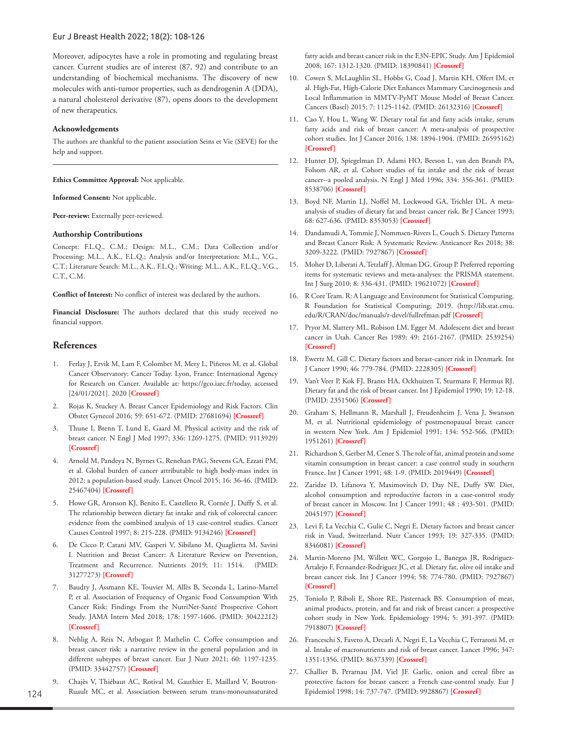Moreover, adipocytes have a role in promoting and regulating breast cancer. Current studies are of interest (87, 92) and contribute to an understanding of biochemical mechanisms. The discovery of new molecules with anti-tumor properties, such as dendrogenin A (DDA), a natural cholesterol derivative (87), opens doors to the development of new therapeutics.

#### **Acknowledgements**

The authors are thankful to the patient association Seins et Vie (SEVE) for the help and support.

**Ethics Committee Approval:** Not applicable.

**Informed Consent:** Not applicable.

**Peer-review:** Externally peer-reviewed.

## **Authorship Contributions**

Concept: F.L.Q., C.M.; Design: M.L., C.M.; Data Collection and/or Processing: M.L., A.K., F.L.Q.; Analysis and/or Interpretation: M.L., V.G., C.T.; Literature Search: M.L., A.K., F.L.Q.; Writing: M.L., A.K., F.L.Q., V.G., C.T., C.M.

**Conflict of Interest:** No conflict of interest was declared by the authors.

**Financial Disclosure:** The authors declared that this study received no financial support.

# **References**

- 1. Ferlay J, Ervik M, Lam F, Colombet M, Mery L, Piñeros M, et al. Global Cancer Observatory: Cancer Today. Lyon, France: International Agency for Research on Cancer. Available at: https://gco.iarc.fr/today, accessed [24/01/2021]. 2020 **[Crossref]**
- 2. Rojas K, Stuckey A. Breast Cancer Epidemiology and Risk Factors. Clin Obstet Gynecol 2016; 59: 651-672. (PMID: 27681694) **[\[Crossref\]](https://doi.org/10.1097/GRF.0000000000000239)**
- 3. Thune I, Brenn T, Lund E, Gaard M. Physical activity and the risk of breast cancer. N Engl J Med 1997; 336: 1269-1275. (PMID: 9113929) **[\[Crossref](https://doi.org/10.1056/NEJM199705013361801)]**
- 4. Arnold M, Pandeya N, Byrnes G, Renehan PAG, Stevens GA, Ezzati PM, et al. Global burden of cancer attributable to high body-mass index in 2012: a population-based study. Lancet Oncol 2015; 16: 36-46. (PMID: 25467404) **[\[Crossref\]](https://doi.org/10.1016/S1470-2045(14)71123-4)**
- 5. Howe GR, Aronson KJ, Benito E, Castelleto R, Cornée J, Duffy S, et al. The relationship between dietary fat intake and risk of colorectal cancer: evidence from the combined analysis of 13 case-control studies. Cancer Causes Control 1997; 8: 215-228. (PMID: 9134246) **[\[Crossref\]](https://doi.org/10.1023/a:1018476414781)**
- 6. De Cicco P, Catani MV, Gasperi V, Sibilano M, Quaglietta M, Savini I. Nutrition and Breast Cancer: A Literature Review on Prevention, Treatment and Recurrence. Nutrients 2019; 11: 1514. (PMID: 31277273) **[\[Crossref\]](https://doi.org/10.3390/nu11071514)**
- 7. Baudry J, Assmann KE, Touvier M, Allès B, Seconda L, Latino-Martel P, et al. Association of Frequency of Organic Food Consumption With Cancer Risk: Findings From the NutriNet-Santé Prospective Cohort Study. JAMA Intern Med 2018; 178: 1597-1606. (PMID: 30422212) **[\[Crossref](https://doi.org/10.1001/jamainternmed.2018.4357)]**
- 8. Nehlig A, Reix N, Arbogast P, Mathelin C. Coffee consumption and breast cancer risk: a narrative review in the general population and in different subtypes of breast cancer. Eur J Nutr 2021; 60: 1197-1235. (PMID: 33442757) **[[Crossref](https://doi.org/10.1007/s00394-020-02465-0)]**
- 9. Chajès V, Thiébaut AC, Rotival M, Gauthier E, Maillard V, Boutron-Ruault MC, et al. Association between serum trans-monounsaturated

fatty acids and breast cancer risk in the E3N-EPIC Study. Am J Epidemiol 2008; 167: 1312-1320. (PMID: 18390841) **[[Crossref\]](https://doi.org/10.1093/aje/kwn069)**

- 10. Cowen S, McLaughlin SL, Hobbs G, Coad J, Martin KH, Olfert IM, et al. High-Fat, High-Calorie Diet Enhances Mammary Carcinogenesis and Local Inflammation in MMTV-PyMT Mouse Model of Breast Cancer. Cancers (Basel) 2015; 7: 1125-1142. (PMID: 26132316) **[\[Crossref\]](https://doi.org/10.3390/cancers7030828)**
- 11. Cao Y, Hou L, Wang W. Dietary total fat and fatty acids intake, serum fatty acids and risk of breast cancer: A meta-analysis of prospective cohort studies. Int J Cancer 2016; 138: 1894-1904. (PMID: 26595162) **[\[Crossref\]](https://doi.org/10.1002/ijc.29938)**
- 12. Hunter DJ, Spiegelman D, Adami HO, Beeson L, van den Brandt PA, Folsom AR, et al. Cohort studies of fat intake and the risk of breast cancer--a pooled analysis. N Engl J Med 1996; 334: 356-361. (PMID: 8538706) **[\[Crossref\]](https://doi.org/10.1056/NEJM199602083340603)**
- 13. Boyd NF, Martin LJ, Noffel M, Lockwood GA, Trichler DL. A metaanalysis of studies of dietary fat and breast cancer risk. Br J Cancer 1993; 68: 627-636. (PMID: 8353053) **[\[Crossref\]](https://doi.org/10.1038/bjc.1993.398)**
- 14. Dandamudi A, Tommie J, Nommsen-Rivers L, Couch S. Dietary Patterns and Breast Cancer Risk: A Systematic Review. Anticancer Res 2018; 38: 3209-3222. (PMID: 7927867) **[\[Crossref\]](https://doi.org/10.21873/anticanres.12586)**
- 15. Moher D, Liberati A, Tetzlaff J, Altman DG, Group P. Preferred reporting items for systematic reviews and meta-analyses: the PRISMA statement. Int J Surg 2010; 8: 336-431. (PMID: 19621072) **[[Crossref\]](https://doi.org/10.1371/journal.pmed.1000097)**
- 16. R Core Team. R: A Language and Environment for Statistical Computing. R Foundation for Statistical Computing; 2019. (http://lib.stat.cmu. edu/R/CRAN/doc/manuals/r-devel/fullrefman.pdf **[Crossref]**
- 17. Pryor M, Slattery ML, Robison LM, Egger M. Adolescent diet and breast cancer in Utah. Cancer Res 1989; 49: 2161-2167. (PMID: 2539254) **[\[Crossref\]](https://pubmed.ncbi.nlm.nih.gov/2539254/)**
- 18. Ewertz M, Gill C. Dietary factors and breast-cancer risk in Denmark. Int J Cancer 1990; 46: 779-784. (PMID: 2228305) **[[Crossref\]](https://doi.org/10.1002/ijc.2910460505)**
- 19. Van't Veer P, Kok FJ, Brants HA, Ockhuizen T, Sturmans F, Hermus RJ. Dietary fat and the risk of breast cancer. Int J Epidemiol 1990; 19: 12-18. (PMID: 2351506) **[\[Crossref\]](https://doi.org/10.1093/ije/19.1.12)**
- 20. Graham S, Hellmann R, Marshall J, Freudenheim J, Vena J, Swanson M, et al. Nutritional epidemiology of postmenopausal breast cancer in western New York. Am J Epidemiol 1991; 134: 552-566. (PMID: 1951261) **[\[Crossref\]](https://doi.org/10.1093/oxfordjournals.aje.a116129)**
- 21. Richardson S, Gerber M, Cenee S. The role of fat, animal protein and some vitamin consumption in breast cancer: a case control study in southern France. Int J Cancer 1991; 48: 1-9. (PMID: 2019449) **[[Crossref](https://doi.org/10.1002/ijc.2910480102)]**
- 22. Zaridze D, Lifanova Y, Maximovitch D, Day NE, Duffy SW. Diet, alcohol consumption and reproductive factors in a case-control study of breast cancer in Moscow. Int J Cancer 1991; 48 : 493-501. (PMID: 2045197) **[\[Crossref\]](https://doi.org/10.1002/ijc.2910480404)**
- 23. Levi F, La Vecchia C, Gulie C, Negri E. Dietary factors and breast cancer risk in Vaud, Switzerland. Nutr Cancer 1993; 19: 327-335. (PMID: 8346081) **[\[Crossref\]](https://doi.org/10.1080/01635589309514263)**
- 24. Martin-Moreno JM, Willett WC, Gorgojo L, Banegas JR, Rodriguez-Artalejo F, Fernandez-Rodriguez JC, et al. Dietary fat, olive oil intake and breast cancer risk. Int J Cancer 1994; 58: 774-780. (PMID: 7927867) **[\[Crossref](https://doi.org/10.1002/ijc.2910580604)]**
- 25. Toniolo P, Riboli E, Shore RE, Pasternack BS. Consumption of meat, animal products, protein, and fat and risk of breast cancer: a prospective cohort study in New York. Epidemiology 1994; 5: 391-397. (PMID: 7918807) **[\[Crossref\]](https://doi.org/10.1097/00001648-199407000-00003)**
- 26. Franceschi S, Favero A, Decarli A, Negri E, La Vecchia C, Ferraroni M, et al. Intake of macronutrients and risk of breast cancer. Lancet 1996; 347: 1351-1356. (PMID: 8637339) **[[Crossref\]](https://doi.org/10.1016/s0140-6736(96)91008-9)**
- 27. Challier B, Perarnau JM, Viel JF. Garlic, onion and cereal fibre as protective factors for breast cancer: a French case-control study. Eur J Epidemiol 1998; 14: 737-747. (PMID: 9928867) **[\[Crossref](https://doi.org/ 10.1023/a:1007512825851)]**

124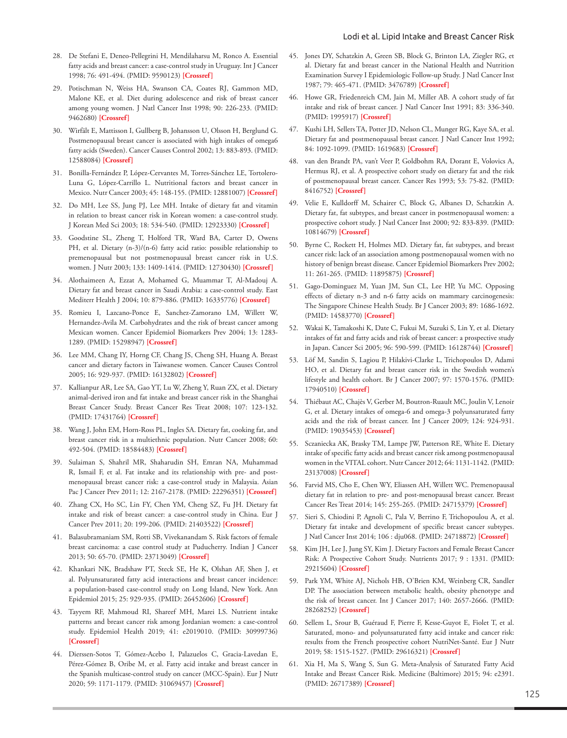- 28. De Stefani E, Deneo-Pellegrini H, Mendilaharsu M, Ronco A. Essential fatty acids and breast cancer: a case-control study in Uruguay. Int J Cancer 1998; 76: 491-494. (PMID: 9590123) **[\[Crossref](https://doi.org/10.1002/(sici)1097-0215(19980518)76:4<491::aid-ijc8>3.0.co;2-m)]**
- 29. Potischman N, Weiss HA, Swanson CA, Coates RJ, Gammon MD, Malone KE, et al. Diet during adolescence and risk of breast cancer among young women. J Natl Cancer Inst 1998; 90: 226-233. (PMID: 9462680) **[\[Crossref\]](https://doi.org/10.1093/jnci/90.3.226)**
- 30. Wirfält E, Mattisson I, Gullberg B, Johansson U, Olsson H, Berglund G. Postmenopausal breast cancer is associated with high intakes of omega6 fatty acids (Sweden). Cancer Causes Control 2002; 13: 883-893. (PMID: 12588084) **[[Crossref\]](https://doi.org/10.1023/a:1021922917489)**
- 31. Bonilla-Fernández P, López-Cervantes M, Torres-Sánchez LE, Tortolero-Luna G, López-Carrillo L. Nutritional factors and breast cancer in Mexico. Nutr Cancer 2003; 45: 148-155. (PMID: 12881007) **[\[Crossref](https://doi.org/10.1207/S15327914NC4502_02)]**
- 32. Do MH, Lee SS, Jung PJ, Lee MH. Intake of dietary fat and vitamin in relation to breast cancer risk in Korean women: a case-control study. J Korean Med Sci 2003; 18: 534-540. (PMID: 12923330) **[[Crossref\]](https://doi.org/10.3346/jkms.2003.18.4.534)**
- 33. Goodstine SL, Zheng T, Holford TR, Ward BA, Carter D, Owens PH, et al. Dietary (n-3)/(n-6) fatty acid ratio: possible relationship to premenopausal but not postmenopausal breast cancer risk in U.S. women. J Nutr 2003; 133: 1409-1414. (PMID: 12730430) **[[Crossref\]](https://doi.org/10.1093/jn/133.5.1409)**
- 34. Alothaimeen A, Ezzat A, Mohamed G, Muammar T, Al-Madouj A. Dietary fat and breast cancer in Saudi Arabia: a case-control study. East Mediterr Health J 2004; 10: 879-886. (PMID: 16335776) **[\[Crossref\]](https://doi.org/https://pubmed.ncbi.nlm.nih.gov/16335776/)**
- 35. Romieu I, Lazcano-Ponce E, Sanchez-Zamorano LM, Willett W, Hernandez-Avila M. Carbohydrates and the risk of breast cancer among Mexican women. Cancer Epidemiol Biomarkers Prev 2004; 13: 1283- 1289. (PMID: 15298947) **[\[Crossref\]](https://pubmed.ncbi.nlm.nih.gov/15298947/)**
- 36. Lee MM, Chang IY, Horng CF, Chang JS, Cheng SH, Huang A. Breast cancer and dietary factors in Taiwanese women. Cancer Causes Control 2005; 16: 929-937. (PMID: 16132802) **[[Crossref\]](https://doi.org/10.1007/s10552-005-4932-9)**
- 37. Kallianpur AR, Lee SA, Gao YT, Lu W, Zheng Y, Ruan ZX, et al. Dietary animal-derived iron and fat intake and breast cancer risk in the Shanghai Breast Cancer Study. Breast Cancer Res Treat 2008; 107: 123-132. (PMID: 17431764) **[\[Crossref\]](https://doi.org/10.1007/s10549-007-9538-3)**
- 38. Wang J, John EM, Horn-Ross PL, Ingles SA. Dietary fat, cooking fat, and breast cancer risk in a multiethnic population. Nutr Cancer 2008; 60: 492-504. (PMID: 18584483) **[[Crossref](https://doi.org/10.1080/01635580801956485)]**
- 39. Sulaiman S, Shahril MR, Shaharudin SH, Emran NA, Muhammad R, Ismail F, et al. Fat intake and its relationship with pre- and postmenopausal breast cancer risk: a case-control study in Malaysia. Asian Pac J Cancer Prev 2011; 12: 2167-2178. (PMID: 22296351) **[\[Crossref\]](https://pubmed.ncbi.nlm.nih.gov/22296351/)**
- 40. Zhang CX, Ho SC, Lin FY, Chen YM, Cheng SZ, Fu JH. Dietary fat intake and risk of breast cancer: a case-control study in China. Eur J Cancer Prev 2011; 20: 199-206. (PMID: 21403522) **[[Crossref\]](https://doi.org/10.1097/CEJ.0b013e32834572bb)**
- 41. Balasubramaniam SM, Rotti SB, Vivekanandam S. Risk factors of female breast carcinoma: a case control study at Puducherry. Indian J Cancer 2013; 50: 65-70. (PMID: 23713049) **[[Crossref\]](https://doi.org/10.4103/0019-509X.112307)**
- 42. Khankari NK, Bradshaw PT, Steck SE, He K, Olshan AF, Shen J, et al. Polyunsaturated fatty acid interactions and breast cancer incidence: a population-based case-control study on Long Island, New York. Ann Epidemiol 2015; 25: 929-935. (PMID: 26452606) **[\[Crossref\]](https://doi.org/10.1016/j.annepidem.2015.09.003)**
- 43. Tayyem RF, Mahmoud RI, Shareef MH, Marei LS. Nutrient intake patterns and breast cancer risk among Jordanian women: a case-control study. Epidemiol Health 2019; 41: e2019010. (PMID: 30999736) **[\[Crossref\]](https://doi.org/10.4178/epih.e2019010)**
- 44. Dierssen-Sotos T, Gómez-Acebo I, Palazuelos C, Gracia-Lavedan E, Pérez-Gómez B, Oribe M, et al. Fatty acid intake and breast cancer in the Spanish multicase-control study on cancer (MCC-Spain). Eur J Nutr 2020; 59: 1171-1179. (PMID: 31069457) **[[Crossref\]](https://doi.org/10.1007/s00394-019-01977-8)**
- 45. Jones DY, Schatzkin A, Green SB, Block G, Brinton LA, Ziegler RG, et al. Dietary fat and breast cancer in the National Health and Nutrition Examination Survey I Epidemiologic Follow-up Study. J Natl Cancer Inst 1987; 79: 465-471. (PMID: 3476789) **[[Crossref](https://pubmed.ncbi.nlm.nih.gov/3476789/)]**
- 46. Howe GR, Friedenreich CM, Jain M, Miller AB. A cohort study of fat intake and risk of breast cancer. J Natl Cancer Inst 1991; 83: 336-340. (PMID: 1995917) **[\[Crossref\]](https://doi.org/10.1093/jnci/83.5.336)**
- 47. Kushi LH, Sellers TA, Potter JD, Nelson CL, Munger RG, Kaye SA, et al. Dietary fat and postmenopausal breast cancer. J Natl Cancer Inst 1992; 84: 1092-1099. (PMID: 1619683) **[\[Crossref](https://doi.org/10.1093/jnci/84.14.1092)]**
- 48. van den Brandt PA, van't Veer P, Goldbohm RA, Dorant E, Volovics A, Hermus RJ, et al. A prospective cohort study on dietary fat and the risk of postmenopausal breast cancer. Cancer Res 1993; 53: 75-82. (PMID: 8416752) **[[Crossref\]](https://pubmed.ncbi.nlm.nih.gov/8416752/)**
- 49. Velie E, Kulldorff M, Schairer C, Block G, Albanes D, Schatzkin A. Dietary fat, fat subtypes, and breast cancer in postmenopausal women: a prospective cohort study. J Natl Cancer Inst 2000; 92: 833-839. (PMID: 10814679) **[\[Crossref\]](https://doi.org/10.1093/jnci/92.10.833)**
- 50. Byrne C, Rockett H, Holmes MD. Dietary fat, fat subtypes, and breast cancer risk: lack of an association among postmenopausal women with no history of benign breast disease. Cancer Epidemiol Biomarkers Prev 2002; 11: 261-265. (PMID: 11895875) **[[Crossref\]](https://pubmed.ncbi.nlm.nih.gov/11895875/)**
- 51. Gago-Dominguez M, Yuan JM, Sun CL, Lee HP, Yu MC. Opposing effects of dietary n-3 and n-6 fatty acids on mammary carcinogenesis: The Singapore Chinese Health Study. Br J Cancer 2003; 89: 1686-1692. (PMID: 14583770) **[\[Crossref](https://doi.org/10.1038/sj.bjc.6601340)]**
- 52. Wakai K, Tamakoshi K, Date C, Fukui M, Suzuki S, Lin Y, et al. Dietary intakes of fat and fatty acids and risk of breast cancer: a prospective study in Japan. Cancer Sci 2005; 96: 590-599. (PMID: 16128744) **[\[Crossref](https://doi.org/10.1111/j.1349-7006.2005.00084.x)]**
- 53. Löf M, Sandin S, Lagiou P, Hilakivi-Clarke L, Trichopoulos D, Adami HO, et al. Dietary fat and breast cancer risk in the Swedish women's lifestyle and health cohort. Br J Cancer 2007; 97: 1570-1576. (PMID: 17940510) **[\[Crossref\]](https://doi.org/10.1038/sj.bjc.6604033)**
- 54. Thiébaut AC, Chajès V, Gerber M, Boutron-Ruault MC, Joulin V, Lenoir G, et al. Dietary intakes of omega-6 and omega-3 polyunsaturated fatty acids and the risk of breast cancer. Int J Cancer 2009; 124: 924-931. (PMID: 19035453) **[[Crossref](https://doi.org/ 10.1002/ijc.23980)]**
- 55. Sczaniecka AK, Brasky TM, Lampe JW, Patterson RE, White E. Dietary intake of specific fatty acids and breast cancer risk among postmenopausal women in the VITAL cohort. Nutr Cancer 2012; 64: 1131-1142. (PMID: 23137008) **[[Crossref\]](https://doi.org/10.1080/01635581.2012.718033)**
- 56. Farvid MS, Cho E, Chen WY, Eliassen AH, Willett WC. Premenopausal dietary fat in relation to pre- and post-menopausal breast cancer. Breast Cancer Res Treat 2014; 145: 255-265. (PMID: 24715379) **[\[Crossref\]](https://doi.org/10.1007/s10549-014-2895-9)**
- 57. Sieri S, Chiodini P, Agnoli C, Pala V, Berrino F, Trichopoulou A, et al. Dietary fat intake and development of specific breast cancer subtypes. J Natl Cancer Inst 2014; 106 : dju068. (PMID: 24718872) **[[Crossref\]](https://doi.org/10.1093/jnci/dju068)**
- 58. Kim JH, Lee J, Jung SY, Kim J. Dietary Factors and Female Breast Cancer Risk: A Prospective Cohort Study. Nutrients 2017; 9 : 1331. (PMID: 29215604) **[\[Crossref\]](https://doi.org/10.3390/nu9121331)**
- 59. Park YM, White AJ, Nichols HB, O'Brien KM, Weinberg CR, Sandler DP. The association between metabolic health, obesity phenotype and the risk of breast cancer. Int J Cancer 2017; 140: 2657-2666. (PMID: 28268252) **[\[Crossref\]](https://doi.org/10.1002/ijc.30684)**
- 60. Sellem L, Srour B, Guéraud F, Pierre F, Kesse-Guyot E, Fiolet T, et al. Saturated, mono- and polyunsaturated fatty acid intake and cancer risk: results from the French prospective cohort NutriNet-Santé. Eur J Nutr 2019; 58: 1515-1527. (PMID: 29616321) **[[Crossref\]](https://doi.org/10.1007/s00394-018-1682-5)**
- 61. Xia H, Ma S, Wang S, Sun G. Meta-Analysis of Saturated Fatty Acid Intake and Breast Cancer Risk. Medicine (Baltimore) 2015; 94: e2391. (PMID: 26717389) **[\[Crossref\]](https://doi.org/10.1097/MD.0000000000002391)**